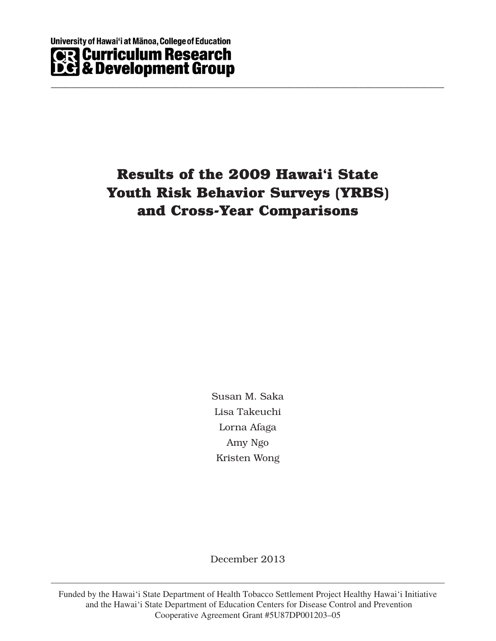# **- Youth Risk Behavior Surveys (YRBS) Results of the 2009 Hawai'i State and Cross-Year Comparisons**

\_\_\_\_\_\_\_\_\_\_\_\_\_\_\_\_\_\_\_\_\_\_\_\_\_\_\_\_\_\_\_\_\_\_\_\_\_\_\_\_\_\_\_\_\_\_\_\_\_\_\_\_\_\_\_\_\_\_\_\_\_\_\_\_\_\_\_\_\_\_\_\_\_\_\_\_\_\_\_

Susan M. Saka Lisa Takeuchi Lorna Afaga Amy Ngo Kristen Wong

December 2013

Funded by the Hawai'i State Department of Health Tobacco Settlement Project Healthy Hawai'i Initiative and the Hawai'i State Department of Education Centers for Disease Control and Prevention Cooperative Agreement Grant #5U87DP001203–05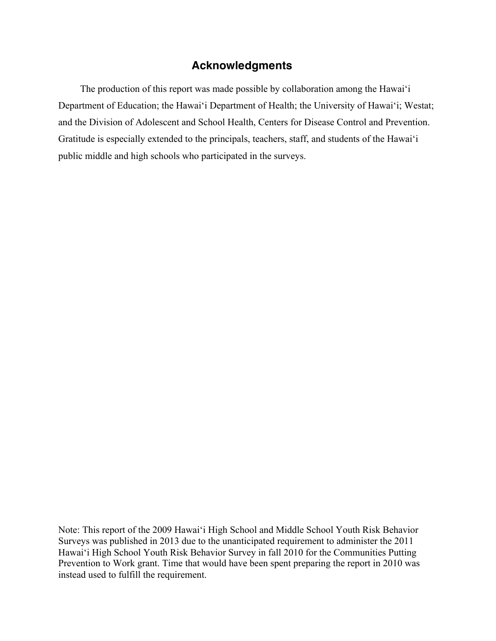# **Acknowledgments**

The production of this report was made possible by collaboration among the Hawai'i Department of Education; the Hawai'i Department of Health; the University of Hawai'i; Westat; and the Division of Adolescent and School Health, Centers for Disease Control and Prevention. Gratitude is especially extended to the principals, teachers, staff, and students of the Hawai'i public middle and high schools who participated in the surveys.

Note: This report of the 2009 Hawai'i High School and Middle School Youth Risk Behavior Surveys was published in 2013 due to the unanticipated requirement to administer the 2011 Hawai'i High School Youth Risk Behavior Survey in fall 2010 for the Communities Putting Prevention to Work grant. Time that would have been spent preparing the report in 2010 was instead used to fulfill the requirement.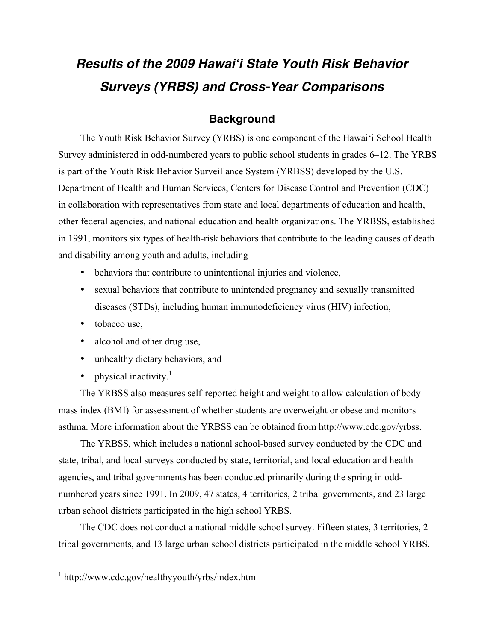# *Results of the 2009 Hawai'i State Youth Risk Behavior Surveys (YRBS) and Cross-Year Comparisons*

# **Background**

The Youth Risk Behavior Survey (YRBS) is one component of the Hawai'i School Health Survey administered in odd-numbered years to public school students in grades 6–12. The YRBS is part of the Youth Risk Behavior Surveillance System (YRBSS) developed by the U.S. Department of Health and Human Services, Centers for Disease Control and Prevention (CDC) in collaboration with representatives from state and local departments of education and health, other federal agencies, and national education and health organizations. The YRBSS, established in 1991, monitors six types of health-risk behaviors that contribute to the leading causes of death and disability among youth and adults, including

- behaviors that contribute to unintentional injuries and violence,
- sexual behaviors that contribute to unintended pregnancy and sexually transmitted diseases (STDs), including human immunodeficiency virus (HIV) infection,
- tobacco use,
- alcohol and other drug use,
- unhealthy dietary behaviors, and
- physical inactivity.<sup>1</sup>

The YRBSS also measures self-reported height and weight to allow calculation of body mass index (BMI) for assessment of whether students are overweight or obese and monitors asthma. More information about the YRBSS can be obtained from http://www.cdc.gov/yrbss.

The YRBSS, which includes a national school-based survey conducted by the CDC and state, tribal, and local surveys conducted by state, territorial, and local education and health agencies, and tribal governments has been conducted primarily during the spring in oddnumbered years since 1991. In 2009, 47 states, 4 territories, 2 tribal governments, and 23 large urban school districts participated in the high school YRBS.

The CDC does not conduct a national middle school survey. Fifteen states, 3 territories, 2 tribal governments, and 13 large urban school districts participated in the middle school YRBS.

<sup>1</sup> http://www.cdc.gov/healthyyouth/yrbs/index.htm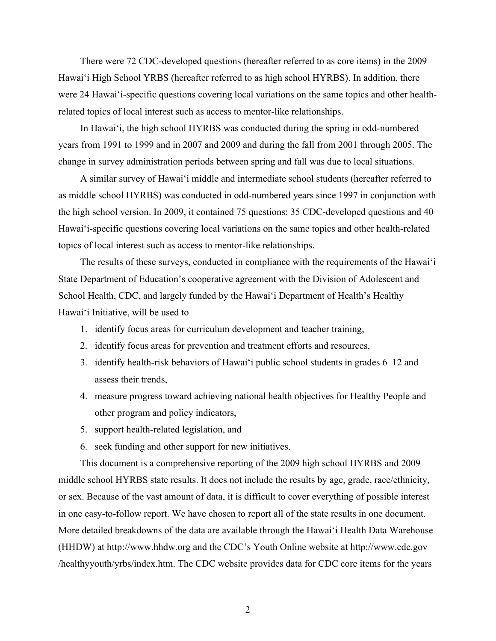There were 72 CDC-developed questions (hereafter referred to as core items) in the 2009 Hawai'i High School YRBS (hereafter referred to as high school HYRBS). In addition, there were 24 Hawai'i-specific questions covering local variations on the same topics and other healthrelated topics of local interest such as access to mentor-like relationships.

In Hawai'i, the high school HYRBS was conducted during the spring in odd-numbered years from 1991 to 1999 and in 2007 and 2009 and during the fall from 2001 through 2005. The change in survey administration periods between spring and fall was due to local situations.

A similar survey of Hawai'i middle and intermediate school students (hereafter referred to as middle school HYRBS) was conducted in odd-numbered years since 1997 in conjunction with the high school version. In 2009, it contained 75 questions: 35 CDC-developed questions and 40 Hawai'i-specific questions covering local variations on the same topics and other health-related topics of local interest such as access to mentor-like relationships.

The results of these surveys, conducted in compliance with the requirements of the Hawai'i State Department of Education's cooperative agreement with the Division of Adolescent and School Health, CDC, and largely funded by the Hawai'i Department of Health's Healthy Hawai'i Initiative, will be used to

- 1. identify focus areas for curriculum development and teacher training,
- 2. identify focus areas for prevention and treatment efforts and resources,
- 3. identify health-risk behaviors of Hawai'i public school students in grades 6–12 and assess their trends,
- 4. measure progress toward achieving national health objectives for Healthy People and other program and policy indicators,
- 5. support health-related legislation, and
- 6. seek funding and other support for new initiatives.

This document is a comprehensive reporting of the 2009 high school HYRBS and 2009 middle school HYRBS state results. It does not include the results by age, grade, race/ethnicity, or sex. Because of the vast amount of data, it is difficult to cover everything of possible interest in one easy-to-follow report. We have chosen to report all of the state results in one document. More detailed breakdowns of the data are available through the Hawai'i Health Data Warehouse (HHDW) at http://www.hhdw.org and the CDC's Youth Online website at http://www.cdc.gov /healthyyouth/yrbs/index.htm. The CDC website provides data for CDC core items for the years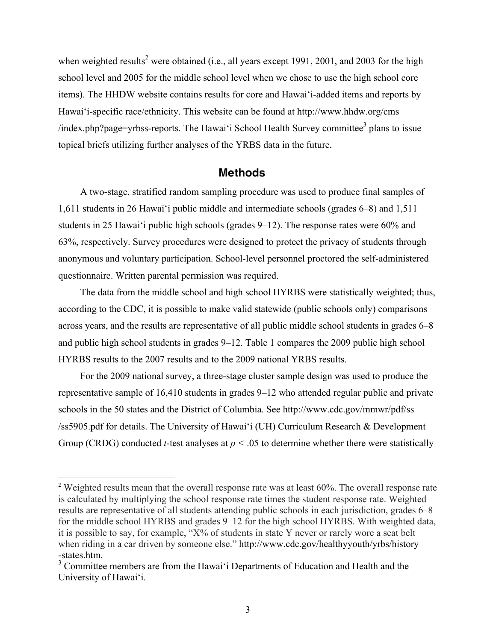when weighted results<sup>2</sup> were obtained (i.e., all years except 1991, 2001, and 2003 for the high school level and 2005 for the middle school level when we chose to use the high school core items). The HHDW website contains results for core and Hawai'i-added items and reports by Hawai'i-specific race/ethnicity. This website can be found at http://www.hhdw.org/cms /index.php?page=yrbss-reports. The Hawai'i School Health Survey committee<sup>3</sup> plans to issue topical briefs utilizing further analyses of the YRBS data in the future.

#### **Methods**

A two-stage, stratified random sampling procedure was used to produce final samples of 1,611 students in 26 Hawai'i public middle and intermediate schools (grades 6–8) and 1,511 students in 25 Hawai'i public high schools (grades 9–12). The response rates were 60% and 63%, respectively. Survey procedures were designed to protect the privacy of students through anonymous and voluntary participation. School-level personnel proctored the self-administered questionnaire. Written parental permission was required.

The data from the middle school and high school HYRBS were statistically weighted; thus, according to the CDC, it is possible to make valid statewide (public schools only) comparisons across years, and the results are representative of all public middle school students in grades 6–8 and public high school students in grades 9–12. Table 1 compares the 2009 public high school HYRBS results to the 2007 results and to the 2009 national YRBS results.

For the 2009 national survey, a three-stage cluster sample design was used to produce the representative sample of 16,410 students in grades 9–12 who attended regular public and private schools in the 50 states and the District of Columbia. See http://www.cdc.gov/mmwr/pdf/ss /ss5905.pdf for details. The University of Hawai'i (UH) Curriculum Research & Development Group (CRDG) conducted *t*-test analyses at *p <* .05 to determine whether there were statistically

<sup>&</sup>lt;sup>2</sup> Weighted results mean that the overall response rate was at least 60%. The overall response rate is calculated by multiplying the school response rate times the student response rate. Weighted results are representative of all students attending public schools in each jurisdiction, grades 6–8 for the middle school HYRBS and grades 9–12 for the high school HYRBS. With weighted data, it is possible to say, for example, "X% of students in state Y never or rarely wore a seat belt when riding in a car driven by someone else." http://www.cdc.gov/healthyyouth/yrbs/history -states.htm.

<sup>&</sup>lt;sup>3</sup> Committee members are from the Hawai'i Departments of Education and Health and the University of Hawai'i.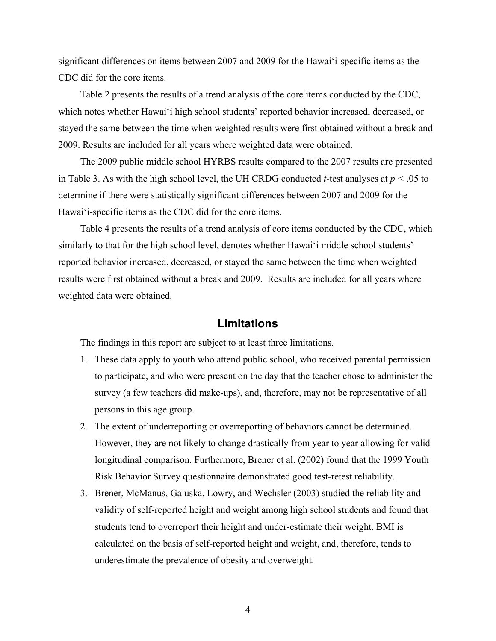significant differences on items between 2007 and 2009 for the Hawai'i-specific items as the CDC did for the core items.

Table 2 presents the results of a trend analysis of the core items conducted by the CDC, which notes whether Hawai'i high school students' reported behavior increased, decreased, or stayed the same between the time when weighted results were first obtained without a break and 2009. Results are included for all years where weighted data were obtained.

The 2009 public middle school HYRBS results compared to the 2007 results are presented in Table 3. As with the high school level, the UH CRDG conducted *t*-test analyses at *p <* .05 to determine if there were statistically significant differences between 2007 and 2009 for the Hawai'i-specific items as the CDC did for the core items.

Table 4 presents the results of a trend analysis of core items conducted by the CDC, which similarly to that for the high school level, denotes whether Hawai'i middle school students' reported behavior increased, decreased, or stayed the same between the time when weighted results were first obtained without a break and 2009. Results are included for all years where weighted data were obtained.

#### **Limitations**

The findings in this report are subject to at least three limitations.

- 1. These data apply to youth who attend public school, who received parental permission to participate, and who were present on the day that the teacher chose to administer the survey (a few teachers did make-ups), and, therefore, may not be representative of all persons in this age group.
- 2. The extent of underreporting or overreporting of behaviors cannot be determined. However, they are not likely to change drastically from year to year allowing for valid longitudinal comparison. Furthermore, Brener et al. (2002) found that the 1999 Youth Risk Behavior Survey questionnaire demonstrated good test-retest reliability.
- 3. Brener, McManus, Galuska, Lowry, and Wechsler (2003) studied the reliability and validity of self-reported height and weight among high school students and found that students tend to overreport their height and under-estimate their weight. BMI is calculated on the basis of self-reported height and weight, and, therefore, tends to underestimate the prevalence of obesity and overweight.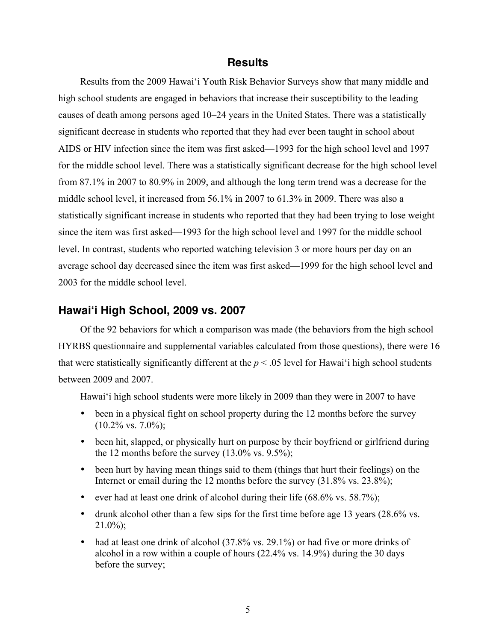#### **Results**

Results from the 2009 Hawai'i Youth Risk Behavior Surveys show that many middle and high school students are engaged in behaviors that increase their susceptibility to the leading causes of death among persons aged 10–24 years in the United States. There was a statistically significant decrease in students who reported that they had ever been taught in school about AIDS or HIV infection since the item was first asked—1993 for the high school level and 1997 for the middle school level. There was a statistically significant decrease for the high school level from 87.1% in 2007 to 80.9% in 2009, and although the long term trend was a decrease for the middle school level, it increased from 56.1% in 2007 to 61.3% in 2009. There was also a statistically significant increase in students who reported that they had been trying to lose weight since the item was first asked—1993 for the high school level and 1997 for the middle school level. In contrast, students who reported watching television 3 or more hours per day on an average school day decreased since the item was first asked—1999 for the high school level and 2003 for the middle school level.

#### **Hawai'i High School, 2009 vs. 2007**

Of the 92 behaviors for which a comparison was made (the behaviors from the high school HYRBS questionnaire and supplemental variables calculated from those questions), there were 16 that were statistically significantly different at the  $p < .05$  level for Hawai'i high school students between 2009 and 2007.

Hawai'i high school students were more likely in 2009 than they were in 2007 to have

- been in a physical fight on school property during the 12 months before the survey  $(10.2\% \text{ vs. } 7.0\%);$
- been hit, slapped, or physically hurt on purpose by their boyfriend or girlfriend during the 12 months before the survey  $(13.0\% \text{ vs. } 9.5\%);$
- been hurt by having mean things said to them (things that hurt their feelings) on the Internet or email during the 12 months before the survey (31.8% vs. 23.8%);
- ever had at least one drink of alcohol during their life  $(68.6\% \text{ vs. } 58.7\%);$
- drunk alcohol other than a few sips for the first time before age 13 years (28.6% vs.  $21.0\%$ ;
- had at least one drink of alcohol (37.8% vs. 29.1%) or had five or more drinks of alcohol in a row within a couple of hours (22.4% vs. 14.9%) during the 30 days before the survey;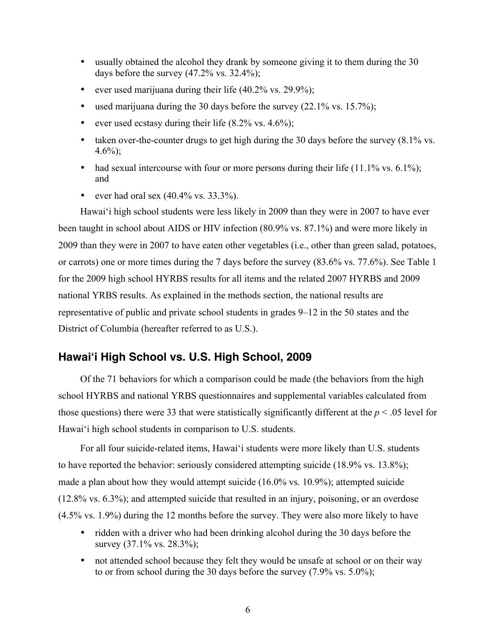- usually obtained the alcohol they drank by someone giving it to them during the 30 days before the survey  $(47.2\% \text{ vs. } 32.4\%);$
- ever used marijuana during their life  $(40.2\% \text{ vs. } 29.9\%);$
- used marijuana during the 30 days before the survey  $(22.1\% \text{ vs. } 15.7\%);$
- ever used ecstasy during their life  $(8.2\% \text{ vs. } 4.6\%);$
- taken over-the-counter drugs to get high during the 30 days before the survey (8.1% vs.  $4.6\%$ ;
- had sexual intercourse with four or more persons during their life  $(11.1\% \text{ vs. } 6.1\%);$ and
- ever had oral sex  $(40.4\% \text{ vs. } 33.3\%).$

Hawai'i high school students were less likely in 2009 than they were in 2007 to have ever been taught in school about AIDS or HIV infection (80.9% vs. 87.1%) and were more likely in 2009 than they were in 2007 to have eaten other vegetables (i.e., other than green salad, potatoes, or carrots) one or more times during the 7 days before the survey (83.6% vs. 77.6%). See Table 1 for the 2009 high school HYRBS results for all items and the related 2007 HYRBS and 2009 national YRBS results. As explained in the methods section, the national results are representative of public and private school students in grades 9–12 in the 50 states and the District of Columbia (hereafter referred to as U.S.).

# **Hawai'i High School vs. U.S. High School, 2009**

Of the 71 behaviors for which a comparison could be made (the behaviors from the high school HYRBS and national YRBS questionnaires and supplemental variables calculated from those questions) there were 33 that were statistically significantly different at the *p* < .05 level for Hawai'i high school students in comparison to U.S. students.

 For all four suicide-related items, Hawai'i students were more likely than U.S. students to have reported the behavior: seriously considered attempting suicide (18.9% vs. 13.8%); made a plan about how they would attempt suicide (16.0% vs. 10.9%); attempted suicide (12.8% vs. 6.3%); and attempted suicide that resulted in an injury, poisoning, or an overdose (4.5% vs. 1.9%) during the 12 months before the survey. They were also more likely to have

- ridden with a driver who had been drinking alcohol during the 30 days before the survey (37.1% vs. 28.3%);
- not attended school because they felt they would be unsafe at school or on their way to or from school during the 30 days before the survey (7.9% vs. 5.0%);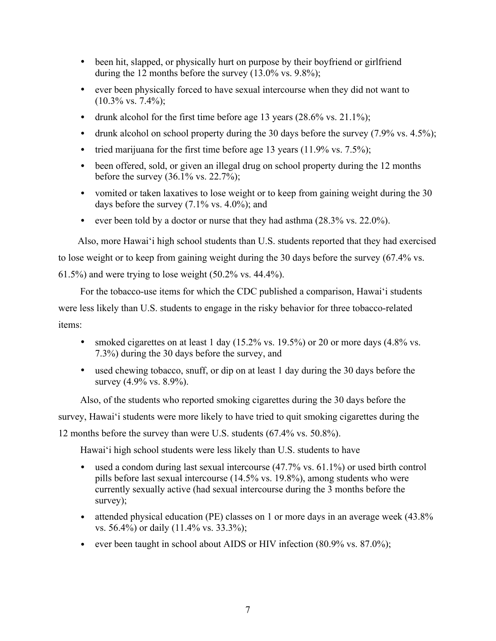- been hit, slapped, or physically hurt on purpose by their boyfriend or girlfriend during the 12 months before the survey  $(13.0\% \text{ vs. } 9.8\%);$
- ever been physically forced to have sexual intercourse when they did not want to  $(10.3\% \text{ vs. } 7.4\%);$
- drunk alcohol for the first time before age 13 years  $(28.6\% \text{ vs. } 21.1\%)$ ;
- drunk alcohol on school property during the 30 days before the survey (7.9% vs. 4.5%);
- tried marijuana for the first time before age 13 years  $(11.9\% \text{ vs. } 7.5\%);$
- been offered, sold, or given an illegal drug on school property during the 12 months before the survey  $(36.1\% \text{ vs. } 22.7\%)$ ;
- vomited or taken laxatives to lose weight or to keep from gaining weight during the 30 days before the survey  $(7.1\% \text{ vs. } 4.0\%);$  and
- ever been told by a doctor or nurse that they had asthma  $(28.3\% \text{ vs. } 22.0\%)$ .

 Also, more Hawai'i high school students than U.S. students reported that they had exercised to lose weight or to keep from gaining weight during the 30 days before the survey (67.4% vs. 61.5%) and were trying to lose weight (50.2% vs. 44.4%).

For the tobacco-use items for which the CDC published a comparison, Hawai'i students were less likely than U.S. students to engage in the risky behavior for three tobacco-related items:

- smoked cigarettes on at least 1 day  $(15.2\% \text{ vs. } 19.5\%)$  or 20 or more days  $(4.8\% \text{ vs. } 19.5\%)$ 7.3%) during the 30 days before the survey, and
- used chewing tobacco, snuff, or dip on at least 1 day during the 30 days before the survey (4.9% vs. 8.9%).

 Also, of the students who reported smoking cigarettes during the 30 days before the survey, Hawai'i students were more likely to have tried to quit smoking cigarettes during the 12 months before the survey than were U.S. students (67.4% vs. 50.8%).

Hawai'i high school students were less likely than U.S. students to have

- used a condom during last sexual intercourse (47.7% vs. 61.1%) or used birth control pills before last sexual intercourse (14.5% vs. 19.8%), among students who were currently sexually active (had sexual intercourse during the 3 months before the survey);
- attended physical education (PE) classes on 1 or more days in an average week (43.8% vs. 56.4%) or daily (11.4% vs. 33.3%);
- ever been taught in school about AIDS or HIV infection (80.9% vs. 87.0%);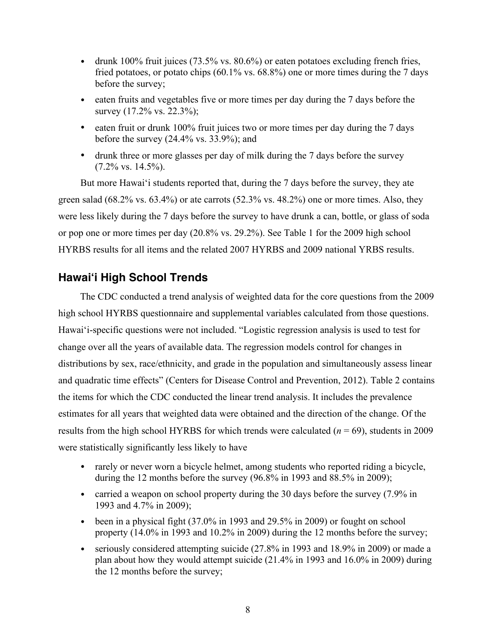- drunk 100% fruit juices  $(73.5\% \text{ vs. } 80.6\%)$  or eaten potatoes excluding french fries, fried potatoes, or potato chips  $(60.1\% \text{ vs. } 68.8\%)$  one or more times during the 7 days before the survey;
- eaten fruits and vegetables five or more times per day during the 7 days before the survey (17.2% vs. 22.3%);
- eaten fruit or drunk 100% fruit juices two or more times per day during the 7 days before the survey (24.4% vs. 33.9%); and
- drunk three or more glasses per day of milk during the 7 days before the survey  $(7.2\% \text{ vs. } 14.5\%).$

But more Hawai'i students reported that, during the 7 days before the survey, they ate green salad (68.2% vs. 63.4%) or ate carrots (52.3% vs. 48.2%) one or more times. Also, they were less likely during the 7 days before the survey to have drunk a can, bottle, or glass of soda or pop one or more times per day (20.8% vs. 29.2%). See Table 1 for the 2009 high school HYRBS results for all items and the related 2007 HYRBS and 2009 national YRBS results.

# **Hawai'i High School Trends**

The CDC conducted a trend analysis of weighted data for the core questions from the 2009 high school HYRBS questionnaire and supplemental variables calculated from those questions. Hawai'i-specific questions were not included. "Logistic regression analysis is used to test for change over all the years of available data. The regression models control for changes in distributions by sex, race/ethnicity, and grade in the population and simultaneously assess linear and quadratic time effects" (Centers for Disease Control and Prevention, 2012). Table 2 contains the items for which the CDC conducted the linear trend analysis. It includes the prevalence estimates for all years that weighted data were obtained and the direction of the change. Of the results from the high school HYRBS for which trends were calculated (*n* = 69), students in 2009 were statistically significantly less likely to have

- rarely or never worn a bicycle helmet, among students who reported riding a bicycle, during the 12 months before the survey (96.8% in 1993 and 88.5% in 2009);
- carried a weapon on school property during the 30 days before the survey (7.9% in 1993 and 4.7% in 2009);
- been in a physical fight  $(37.0\%$  in 1993 and 29.5% in 2009) or fought on school property (14.0% in 1993 and 10.2% in 2009) during the 12 months before the survey;
- seriously considered attempting suicide (27.8% in 1993 and 18.9% in 2009) or made a plan about how they would attempt suicide (21.4% in 1993 and 16.0% in 2009) during the 12 months before the survey;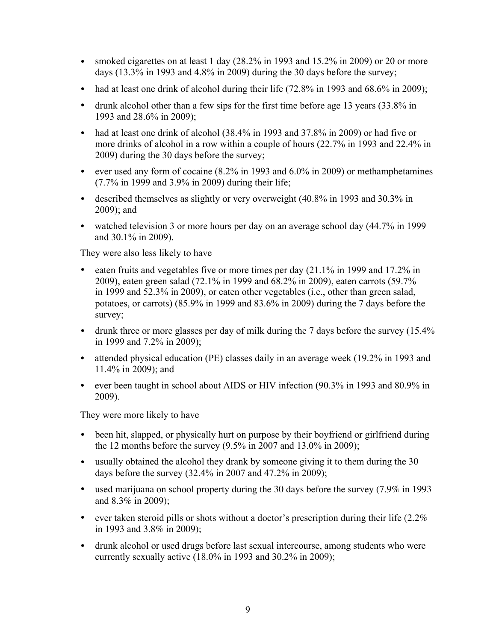- smoked cigarettes on at least 1 day (28.2% in 1993 and 15.2% in 2009) or 20 or more days (13.3% in 1993 and 4.8% in 2009) during the 30 days before the survey;
- had at least one drink of alcohol during their life (72.8% in 1993 and 68.6% in 2009);
- drunk alcohol other than a few sips for the first time before age 13 years (33.8% in 1993 and 28.6% in 2009);
- had at least one drink of alcohol (38.4% in 1993 and 37.8% in 2009) or had five or more drinks of alcohol in a row within a couple of hours (22.7% in 1993 and 22.4% in 2009) during the 30 days before the survey;
- ever used any form of cocaine (8.2% in 1993 and 6.0% in 2009) or methamphetamines (7.7% in 1999 and 3.9% in 2009) during their life;
- described themselves as slightly or very overweight (40.8% in 1993 and 30.3% in 2009); and
- watched television 3 or more hours per day on an average school day  $(44.7\%$  in 1999 and 30.1% in 2009).

They were also less likely to have

- eaten fruits and vegetables five or more times per day  $(21.1\%$  in 1999 and 17.2% in 2009), eaten green salad (72.1% in 1999 and 68.2% in 2009), eaten carrots (59.7% in 1999 and 52.3% in 2009), or eaten other vegetables (i.e., other than green salad, potatoes, or carrots) (85.9% in 1999 and 83.6% in 2009) during the 7 days before the survey;
- drunk three or more glasses per day of milk during the 7 days before the survey (15.4% in 1999 and 7.2% in 2009);
- attended physical education (PE) classes daily in an average week (19.2% in 1993 and 11.4% in 2009); and
- ever been taught in school about AIDS or HIV infection (90.3% in 1993 and 80.9% in 2009).

They were more likely to have

- been hit, slapped, or physically hurt on purpose by their boyfriend or girlfriend during the 12 months before the survey (9.5% in 2007 and 13.0% in 2009);
- usually obtained the alcohol they drank by someone giving it to them during the 30 days before the survey (32.4% in 2007 and 47.2% in 2009);
- used marijuana on school property during the 30 days before the survey (7.9% in 1993 and 8.3% in 2009);
- ever taken steroid pills or shots without a doctor's prescription during their life  $(2.2\%$ in 1993 and 3.8% in 2009);
- drunk alcohol or used drugs before last sexual intercourse, among students who were currently sexually active (18.0% in 1993 and 30.2% in 2009);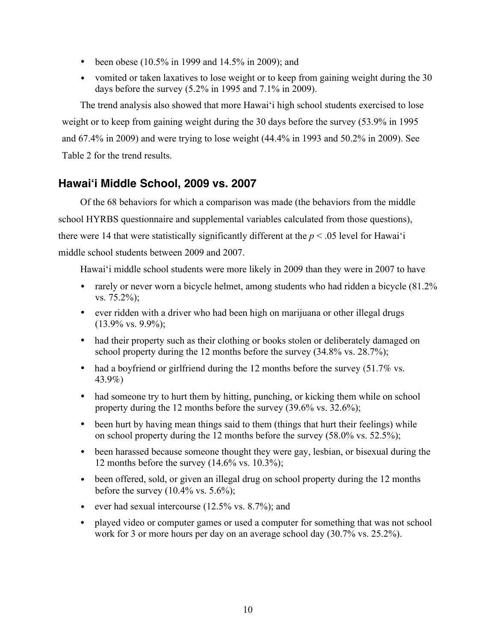- been obese (10.5% in 1999 and 14.5% in 2009); and
- vomited or taken laxatives to lose weight or to keep from gaining weight during the 30 days before the survey (5.2% in 1995 and 7.1% in 2009).

The trend analysis also showed that more Hawai'i high school students exercised to lose weight or to keep from gaining weight during the 30 days before the survey (53.9% in 1995 and 67.4% in 2009) and were trying to lose weight (44.4% in 1993 and 50.2% in 2009). See Table 2 for the trend results.

# **Hawai'i Middle School, 2009 vs. 2007**

Of the 68 behaviors for which a comparison was made (the behaviors from the middle school HYRBS questionnaire and supplemental variables calculated from those questions), there were 14 that were statistically significantly different at the  $p < .05$  level for Hawai'i middle school students between 2009 and 2007.

Hawai'i middle school students were more likely in 2009 than they were in 2007 to have

- rarely or never worn a bicycle helmet, among students who had ridden a bicycle  $(81.2\%$ vs. 75.2%);
- ever ridden with a driver who had been high on marijuana or other illegal drugs  $(13.9\% \text{ vs. } 9.9\%);$
- had their property such as their clothing or books stolen or deliberately damaged on school property during the 12 months before the survey  $(34.8\% \text{ vs. } 28.7\%);$
- had a boyfriend or girlfriend during the 12 months before the survey (51.7% vs. 43.9%)
- had someone try to hurt them by hitting, punching, or kicking them while on school property during the 12 months before the survey (39.6% vs. 32.6%);
- been hurt by having mean things said to them (things that hurt their feelings) while on school property during the 12 months before the survey (58.0% vs. 52.5%);
- been harassed because someone thought they were gay, lesbian, or bisexual during the 12 months before the survey  $(14.6\% \text{ vs. } 10.3\%);$
- been offered, sold, or given an illegal drug on school property during the 12 months before the survey  $(10.4\% \text{ vs. } 5.6\%);$
- ever had sexual intercourse (12.5% vs. 8.7%); and
- played video or computer games or used a computer for something that was not school work for 3 or more hours per day on an average school day (30.7% vs. 25.2%).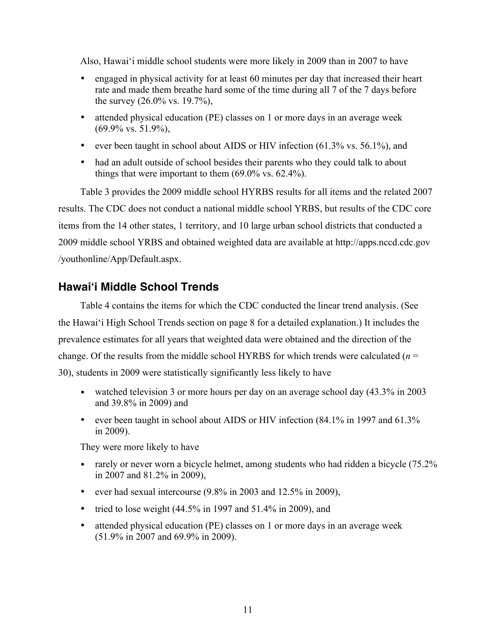Also, Hawai'i middle school students were more likely in 2009 than in 2007 to have

- engaged in physical activity for at least 60 minutes per day that increased their heart rate and made them breathe hard some of the time during all 7 of the 7 days before the survey (26.0% vs. 19.7%),
- attended physical education (PE) classes on 1 or more days in an average week (69.9% vs. 51.9%),
- ever been taught in school about AIDS or HIV infection (61.3% vs. 56.1%), and
- had an adult outside of school besides their parents who they could talk to about things that were important to them (69.0% vs. 62.4%).

Table 3 provides the 2009 middle school HYRBS results for all items and the related 2007 results. The CDC does not conduct a national middle school YRBS, but results of the CDC core items from the 14 other states, 1 territory, and 10 large urban school districts that conducted a 2009 middle school YRBS and obtained weighted data are available at http://apps.nccd.cdc.gov /youthonline/App/Default.aspx.

# **Hawai'i Middle School Trends**

Table 4 contains the items for which the CDC conducted the linear trend analysis. (See the Hawai'i High School Trends section on page 8 for a detailed explanation.) It includes the prevalence estimates for all years that weighted data were obtained and the direction of the change. Of the results from the middle school HYRBS for which trends were calculated (*n* = 30), students in 2009 were statistically significantly less likely to have

- watched television 3 or more hours per day on an average school day  $(43.3\% \text{ in } 2003)$ and 39.8% in 2009) and
- ever been taught in school about AIDS or HIV infection (84.1% in 1997 and 61.3%) in 2009).

They were more likely to have

- rarely or never worn a bicycle helmet, among students who had ridden a bicycle (75.2%) in 2007 and 81.2% in 2009),
- ever had sexual intercourse (9.8% in 2003 and 12.5% in 2009),
- tried to lose weight  $(44.5\% \text{ in } 1997 \text{ and } 51.4\% \text{ in } 2009)$ , and
- attended physical education (PE) classes on 1 or more days in an average week (51.9% in 2007 and 69.9% in 2009).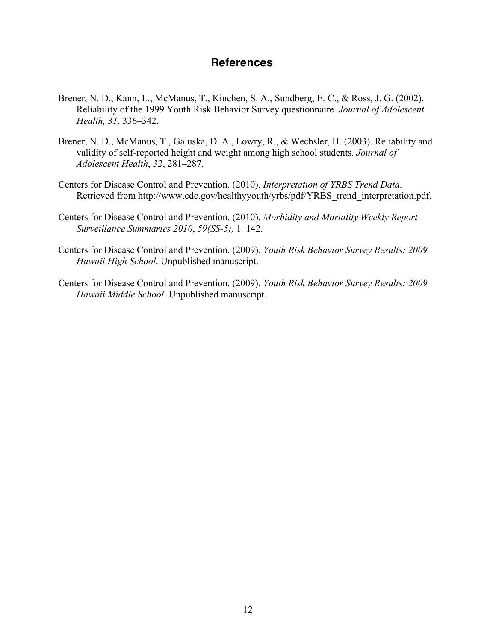# **References**

- Brener, N. D., Kann, L., McManus, T., Kinchen, S. A., Sundberg, E. C., & Ross, J. G. (2002). Reliability of the 1999 Youth Risk Behavior Survey questionnaire. *Journal of Adolescent Health, 31*, 336–342.
- Brener, N. D., McManus, T., Galuska, D. A., Lowry, R., & Wechsler, H. (2003). Reliability and validity of self-reported height and weight among high school students. *Journal of Adolescent Health*, *32*, 281–287.
- Centers for Disease Control and Prevention. (2010). *Interpretation of YRBS Trend Data*. Retrieved from http://www.cdc.gov/healthyyouth/yrbs/pdf/YRBS\_trend\_interpretation.pdf.
- Centers for Disease Control and Prevention. (2010). *Morbidity and Mortality Weekly Report Surveillance Summaries 2010*, *59(SS-5),* 1–142.
- Centers for Disease Control and Prevention. (2009). *Youth Risk Behavior Survey Results: 2009 Hawaii High School*. Unpublished manuscript.
- Centers for Disease Control and Prevention. (2009). *Youth Risk Behavior Survey Results: 2009 Hawaii Middle School*. Unpublished manuscript.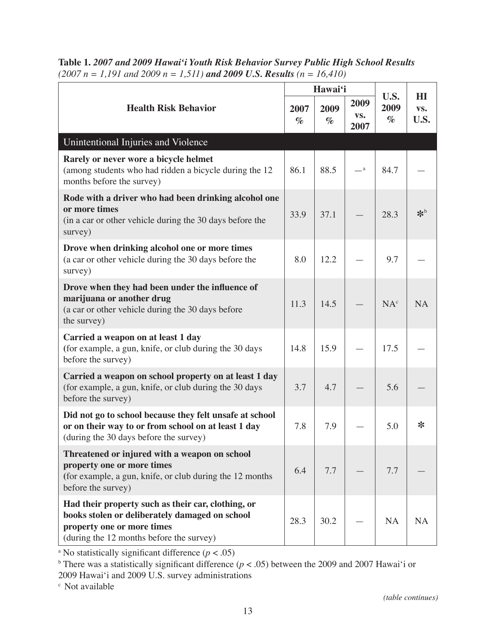|                                                                                                                                                                                |              | Hawai'i      |                     |                      |                               |
|--------------------------------------------------------------------------------------------------------------------------------------------------------------------------------|--------------|--------------|---------------------|----------------------|-------------------------------|
| <b>Health Risk Behavior</b>                                                                                                                                                    | 2007<br>$\%$ | 2009<br>$\%$ | 2009<br>VS.<br>2007 | U.S.<br>2009<br>$\%$ | H1<br>VS.<br>U.S.             |
| Unintentional Injuries and Violence                                                                                                                                            |              |              |                     |                      |                               |
| Rarely or never wore a bicycle helmet<br>(among students who had ridden a bicycle during the 12<br>months before the survey)                                                   | 86.1         | 88.5         | $-{}^{\mathrm{a}}$  | 84.7                 |                               |
| Rode with a driver who had been drinking alcohol one<br>or more times<br>(in a car or other vehicle during the 30 days before the<br>survey)                                   | 33.9         | 37.1         |                     | 28.3                 | $\mathbf{\mathbf{\hat{x}}^b}$ |
| Drove when drinking alcohol one or more times<br>(a car or other vehicle during the 30 days before the<br>survey)                                                              | 8.0          | 12.2         |                     | 9.7                  |                               |
| Drove when they had been under the influence of<br>marijuana or another drug<br>(a car or other vehicle during the 30 days before<br>the survey)                               | 11.3         | 14.5         |                     | NA <sup>c</sup>      | <b>NA</b>                     |
| Carried a weapon on at least 1 day<br>(for example, a gun, knife, or club during the 30 days<br>before the survey)                                                             | 14.8         | 15.9         |                     | 17.5                 |                               |
| Carried a weapon on school property on at least 1 day<br>(for example, a gun, knife, or club during the 30 days<br>before the survey)                                          | 3.7          | 4.7          |                     | 5.6                  |                               |
| Did not go to school because they felt unsafe at school<br>or on their way to or from school on at least 1 day<br>(during the 30 days before the survey)                       | 7.8          | 7.9          |                     | 5.0                  | ∗                             |
| Threatened or injured with a weapon on school<br>property one or more times<br>(for example, a gun, knife, or club during the 12 months<br>before the survey)                  | 6.4          | 7.7          |                     | 7.7                  |                               |
| Had their property such as their car, clothing, or<br>books stolen or deliberately damaged on school<br>property one or more times<br>(during the 12 months before the survey) | 28.3         | 30.2         |                     | <b>NA</b>            | <b>NA</b>                     |

**Table 1.** *2007 and 2009 Hawai'i Youth Risk Behavior Survey Public High School Results (2007 n = 1,191 and 2009 n = 1,511) and 2009 U.S. Results (n = 16,410)*

<sup>a</sup> No statistically significant difference  $(p < .05)$ 

<sup>b</sup> There was a statistically significant difference ( $p < .05$ ) between the 2009 and 2007 Hawai'i or

2009 Hawai'i and 2009 U.S. survey administrations

c Not available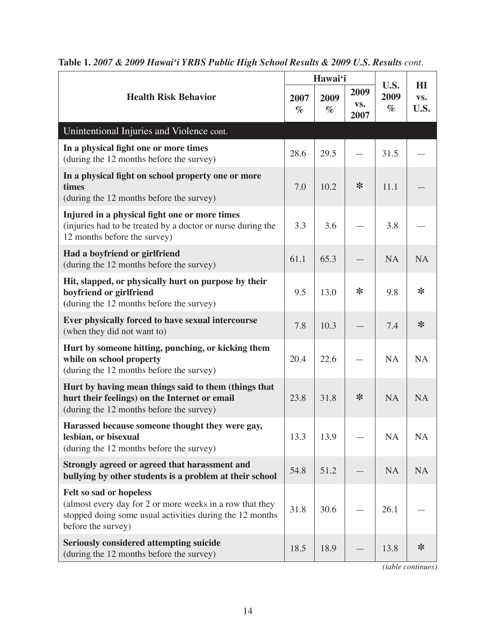|                                                                                                                                                                       |              | Hawai'i      |                     |                      |                    |
|-----------------------------------------------------------------------------------------------------------------------------------------------------------------------|--------------|--------------|---------------------|----------------------|--------------------|
| <b>Health Risk Behavior</b>                                                                                                                                           | 2007<br>$\%$ | 2009<br>$\%$ | 2009<br>VS.<br>2007 | U.S.<br>2009<br>$\%$ | H I<br>VS.<br>U.S. |
| Unintentional Injuries and Violence cont.                                                                                                                             |              |              |                     |                      |                    |
| In a physical fight one or more times<br>(during the 12 months before the survey)                                                                                     | 28.6         | 29.5         |                     | 31.5                 |                    |
| In a physical fight on school property one or more<br>times<br>(during the 12 months before the survey)                                                               | 7.0          | 10.2         | ∗                   | 11.1                 |                    |
| Injured in a physical fight one or more times<br>(injuries had to be treated by a doctor or nurse during the<br>12 months before the survey)                          | 3.3          | 3.6          |                     | 3.8                  |                    |
| Had a boyfriend or girlfriend<br>(during the 12 months before the survey)                                                                                             | 61.1         | 65.3         |                     | <b>NA</b>            | <b>NA</b>          |
| Hit, slapped, or physically hurt on purpose by their<br>boyfriend or girlfriend<br>(during the 12 months before the survey)                                           | 9.5          | 13.0         | ∗                   | 9.8                  | ∗                  |
| Ever physically forced to have sexual intercourse<br>(when they did not want to)                                                                                      | 7.8          | 10.3         |                     | 7.4                  | $\ast$             |
| Hurt by someone hitting, punching, or kicking them<br>while on school property<br>(during the 12 months before the survey)                                            | 20.4         | 22.6         |                     | <b>NA</b>            | <b>NA</b>          |
| Hurt by having mean things said to them (things that<br>hurt their feelings) on the Internet or email<br>(during the 12 months before the survey)                     | 23.8         | 31.8         | ∗                   | <b>NA</b>            | <b>NA</b>          |
| Harassed because someone thought they were gay,<br>lesbian, or bisexual<br>(during the 12 months before the survey)                                                   | 13.3         | 13.9         |                     | <b>NA</b>            | <b>NA</b>          |
| Strongly agreed or agreed that harassment and<br>bullying by other students is a problem at their school                                                              | 54.8         | 51.2         |                     | <b>NA</b>            | <b>NA</b>          |
| Felt so sad or hopeless<br>(almost every day for 2 or more weeks in a row that they<br>stopped doing some usual activities during the 12 months<br>before the survey) | 31.8         | 30.6         |                     | 26.1                 |                    |
| <b>Seriously considered attempting suicide</b><br>(during the 12 months before the survey)                                                                            | 18.5         | 18.9         |                     | 13.8                 | ∗                  |

| Table 1. 2007 & 2009 Hawai'i YRBS Public High School Results & 2009 U.S. Results cont. |  |
|----------------------------------------------------------------------------------------|--|
|----------------------------------------------------------------------------------------|--|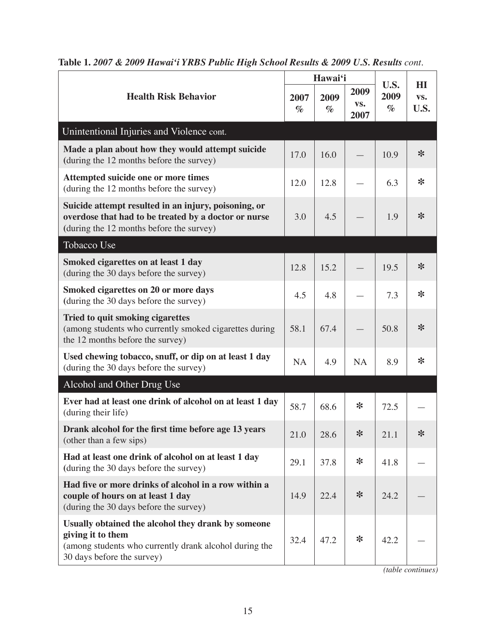|                                                                                                                                                                 |              | Hawai'i      |                     |                      | H <sub>I</sub> |
|-----------------------------------------------------------------------------------------------------------------------------------------------------------------|--------------|--------------|---------------------|----------------------|----------------|
| <b>Health Risk Behavior</b>                                                                                                                                     | 2007<br>$\%$ | 2009<br>$\%$ | 2009<br>VS.<br>2007 | U.S.<br>2009<br>$\%$ | VS.<br>U.S.    |
| Unintentional Injuries and Violence cont.                                                                                                                       |              |              |                     |                      |                |
| Made a plan about how they would attempt suicide<br>(during the 12 months before the survey)                                                                    | 17.0         | 16.0         |                     | 10.9                 | $\ast$         |
| Attempted suicide one or more times<br>(during the 12 months before the survey)                                                                                 | 12.0         | 12.8         |                     | 6.3                  | ∗              |
| Suicide attempt resulted in an injury, poisoning, or<br>overdose that had to be treated by a doctor or nurse<br>(during the 12 months before the survey)        | 3.0          | 4.5          |                     | 1.9                  | $\ast$         |
| Tobacco Use                                                                                                                                                     |              |              |                     |                      |                |
| Smoked cigarettes on at least 1 day<br>(during the 30 days before the survey)                                                                                   | 12.8         | 15.2         |                     | 19.5                 | $\ast$         |
| Smoked cigarettes on 20 or more days<br>(during the 30 days before the survey)                                                                                  | 4.5          | 4.8          |                     | 7.3                  | $\ast$         |
| Tried to quit smoking cigarettes<br>(among students who currently smoked cigarettes during<br>the 12 months before the survey)                                  | 58.1         | 67.4         |                     | 50.8                 | $\ast$         |
| Used chewing tobacco, snuff, or dip on at least 1 day<br>(during the 30 days before the survey)                                                                 | <b>NA</b>    | 4.9          | <b>NA</b>           | 8.9                  | ∗              |
| Alcohol and Other Drug Use                                                                                                                                      |              |              |                     |                      |                |
| Ever had at least one drink of alcohol on at least 1 day<br>(during their life)                                                                                 | 58.7         | 68.6         | ∗                   | 72.5                 |                |
| Drank alcohol for the first time before age 13 years<br>(other than a few sips)                                                                                 | 21.0         | 28.6         | $\ast$              | 21.1                 | ⋇              |
| Had at least one drink of alcohol on at least 1 day<br>(during the 30 days before the survey)                                                                   | 29.1         | 37.8         | ∗                   | 41.8                 |                |
| Had five or more drinks of alcohol in a row within a<br>couple of hours on at least 1 day<br>(during the 30 days before the survey)                             | 14.9         | 22.4         | ∗                   | 24.2                 |                |
| Usually obtained the alcohol they drank by someone<br>giving it to them<br>(among students who currently drank alcohol during the<br>30 days before the survey) | 32.4         | 47.2         | ∗                   | 42.2                 |                |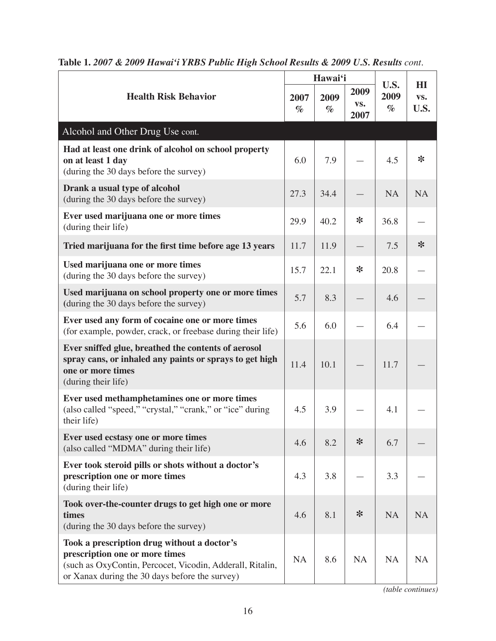|                                                                                                                                                                                              |              | Hawai'i      |                          |                      | H I         |
|----------------------------------------------------------------------------------------------------------------------------------------------------------------------------------------------|--------------|--------------|--------------------------|----------------------|-------------|
| <b>Health Risk Behavior</b>                                                                                                                                                                  | 2007<br>$\%$ | 2009<br>$\%$ | 2009<br>VS.<br>2007      | U.S.<br>2009<br>$\%$ | VS.<br>U.S. |
| Alcohol and Other Drug Use cont.                                                                                                                                                             |              |              |                          |                      |             |
| Had at least one drink of alcohol on school property<br>on at least 1 day<br>(during the 30 days before the survey)                                                                          | 6.0          | 7.9          |                          | 4.5                  | $\ast$      |
| Drank a usual type of alcohol<br>(during the 30 days before the survey)                                                                                                                      | 27.3         | 34.4         |                          | <b>NA</b>            | <b>NA</b>   |
| Ever used marijuana one or more times<br>(during their life)                                                                                                                                 | 29.9         | 40.2         | $\ast$                   | 36.8                 |             |
| Tried marijuana for the first time before age 13 years                                                                                                                                       | 11.7         | 11.9         | $\overline{\phantom{0}}$ | 7.5                  | $\ast$      |
| Used marijuana one or more times<br>(during the 30 days before the survey)                                                                                                                   | 15.7         | 22.1         | $\ast$                   | 20.8                 |             |
| Used marijuana on school property one or more times<br>(during the 30 days before the survey)                                                                                                | 5.7          | 8.3          |                          | 4.6                  |             |
| Ever used any form of cocaine one or more times<br>(for example, powder, crack, or freebase during their life)                                                                               | 5.6          | 6.0          |                          | 6.4                  |             |
| Ever sniffed glue, breathed the contents of aerosol<br>spray cans, or inhaled any paints or sprays to get high<br>one or more times<br>(during their life)                                   | 11.4         | 10.1         |                          | 11.7                 |             |
| Ever used methamphetamines one or more times<br>(also called "speed," "crystal," "crank," or "ice" during<br>their life)                                                                     | 4.5          | 3.9          |                          | 4.1                  |             |
| Ever used ecstasy one or more times<br>(also called "MDMA" during their life)                                                                                                                | 4.6          | 8.2          | $\ast$                   | 6.7                  |             |
| Ever took steroid pills or shots without a doctor's<br>prescription one or more times<br>(during their life)                                                                                 | 4.3          | 3.8          |                          | 3.3                  |             |
| Took over-the-counter drugs to get high one or more<br>times<br>(during the 30 days before the survey)                                                                                       | 4.6          | 8.1          | $\ast$                   | <b>NA</b>            | <b>NA</b>   |
| Took a prescription drug without a doctor's<br>prescription one or more times<br>(such as OxyContin, Percocet, Vicodin, Adderall, Ritalin,<br>or Xanax during the 30 days before the survey) | <b>NA</b>    | 8.6          | <b>NA</b>                | <b>NA</b>            | <b>NA</b>   |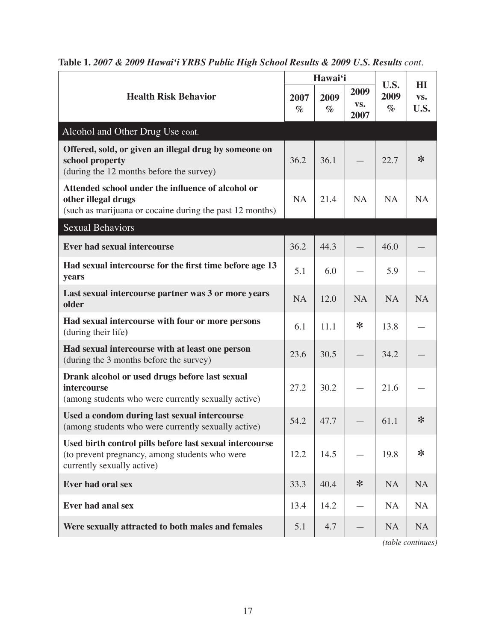|                                                                                                                                         |              | Hawai'i      |                     |                      | H I         |
|-----------------------------------------------------------------------------------------------------------------------------------------|--------------|--------------|---------------------|----------------------|-------------|
| <b>Health Risk Behavior</b>                                                                                                             | 2007<br>$\%$ | 2009<br>$\%$ | 2009<br>VS.<br>2007 | U.S.<br>2009<br>$\%$ | VS.<br>U.S. |
| Alcohol and Other Drug Use cont.                                                                                                        |              |              |                     |                      |             |
| Offered, sold, or given an illegal drug by someone on<br>school property<br>(during the 12 months before the survey)                    | 36.2         | 36.1         |                     | 22.7                 | $\ast$      |
| Attended school under the influence of alcohol or<br>other illegal drugs<br>(such as marijuana or cocaine during the past 12 months)    | <b>NA</b>    | 21.4         | <b>NA</b>           | <b>NA</b>            | <b>NA</b>   |
| <b>Sexual Behaviors</b>                                                                                                                 |              |              |                     |                      |             |
| <b>Ever had sexual intercourse</b>                                                                                                      | 36.2         | 44.3         |                     | 46.0                 |             |
| Had sexual intercourse for the first time before age 13<br>years                                                                        | 5.1          | 6.0          |                     | 5.9                  |             |
| Last sexual intercourse partner was 3 or more years<br>older                                                                            | <b>NA</b>    | 12.0         | <b>NA</b>           | <b>NA</b>            | <b>NA</b>   |
| Had sexual intercourse with four or more persons<br>(during their life)                                                                 | 6.1          | 11.1         | ∗                   | 13.8                 |             |
| Had sexual intercourse with at least one person<br>(during the 3 months before the survey)                                              | 23.6         | 30.5         |                     | 34.2                 |             |
| Drank alcohol or used drugs before last sexual<br><i>intercourse</i><br>(among students who were currently sexually active)             | 27.2         | 30.2         |                     | 21.6                 |             |
| Used a condom during last sexual intercourse<br>(among students who were currently sexually active)                                     | 54.2         | 47.7         |                     | 61.1                 | ∗           |
| Used birth control pills before last sexual intercourse<br>(to prevent pregnancy, among students who were<br>currently sexually active) | 12.2         | 14.5         |                     | 19.8                 | $\ast$      |
| Ever had oral sex                                                                                                                       | 33.3         | 40.4         | $\ast$              | <b>NA</b>            | <b>NA</b>   |
| <b>Ever had anal sex</b>                                                                                                                | 13.4         | 14.2         |                     | <b>NA</b>            | <b>NA</b>   |
| Were sexually attracted to both males and females                                                                                       | 5.1          | 4.7          |                     | <b>NA</b>            | <b>NA</b>   |

| Table 1. 2007 & 2009 Hawai'i YRBS Public High School Results & 2009 U.S. Results cont. |  |
|----------------------------------------------------------------------------------------|--|
|----------------------------------------------------------------------------------------|--|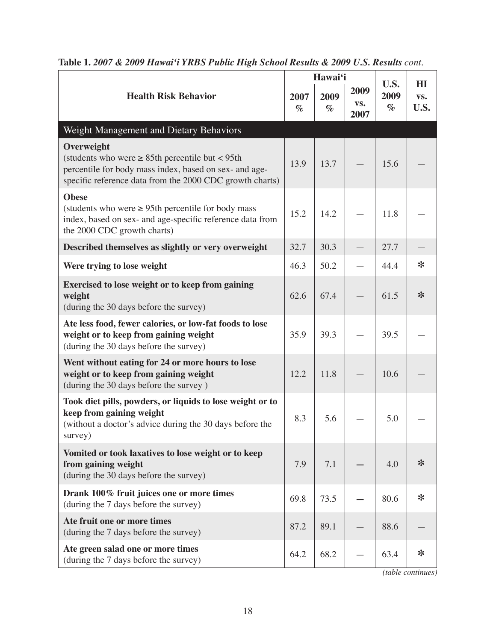|                                                                                                                                                                                          |              | Hawai'i      |                     |                      | H1          |
|------------------------------------------------------------------------------------------------------------------------------------------------------------------------------------------|--------------|--------------|---------------------|----------------------|-------------|
| <b>Health Risk Behavior</b>                                                                                                                                                              | 2007<br>$\%$ | 2009<br>$\%$ | 2009<br>VS.<br>2007 | U.S.<br>2009<br>$\%$ | VS.<br>U.S. |
| Weight Management and Dietary Behaviors                                                                                                                                                  |              |              |                     |                      |             |
| Overweight<br>(students who were $\geq$ 85th percentile but < 95th<br>percentile for body mass index, based on sex- and age-<br>specific reference data from the 2000 CDC growth charts) | 13.9         | 13.7         |                     | 15.6                 |             |
| <b>Obese</b><br>(students who were $\geq$ 95th percentile for body mass<br>index, based on sex- and age-specific reference data from<br>the 2000 CDC growth charts)                      | 15.2         | 14.2         |                     | 11.8                 |             |
| Described themselves as slightly or very overweight                                                                                                                                      | 32.7         | 30.3         |                     | 27.7                 |             |
| Were trying to lose weight                                                                                                                                                               | 46.3         | 50.2         |                     | 44.4                 | ∗           |
| Exercised to lose weight or to keep from gaining<br>weight<br>(during the 30 days before the survey)                                                                                     | 62.6         | 67.4         |                     | 61.5                 | $\ast$      |
| Ate less food, fewer calories, or low-fat foods to lose<br>weight or to keep from gaining weight<br>(during the 30 days before the survey)                                               | 35.9         | 39.3         |                     | 39.5                 |             |
| Went without eating for 24 or more hours to lose<br>weight or to keep from gaining weight<br>(during the 30 days before the survey)                                                      | 12.2         | 11.8         |                     | 10.6                 |             |
| Took diet pills, powders, or liquids to lose weight or to<br>keep from gaining weight<br>(without a doctor's advice during the 30 days before the<br>survey)                             | 8.3          | 5.6          |                     | 5.0                  |             |
| Vomited or took laxatives to lose weight or to keep<br>from gaining weight<br>(during the 30 days before the survey)                                                                     | 7.9          | 7.1          |                     | 4.0                  | $\ast$      |
| Drank 100% fruit juices one or more times<br>(during the 7 days before the survey)                                                                                                       | 69.8         | 73.5         |                     | 80.6                 | $\ast$      |
| Ate fruit one or more times<br>(during the 7 days before the survey)                                                                                                                     | 87.2         | 89.1         |                     | 88.6                 |             |
| Ate green salad one or more times<br>(during the 7 days before the survey)                                                                                                               | 64.2         | 68.2         |                     | 63.4                 | ∗           |

| Table 1. 2007 & 2009 Hawai'i YRBS Public High School Results & 2009 U.S. Results cont. |  |
|----------------------------------------------------------------------------------------|--|
|----------------------------------------------------------------------------------------|--|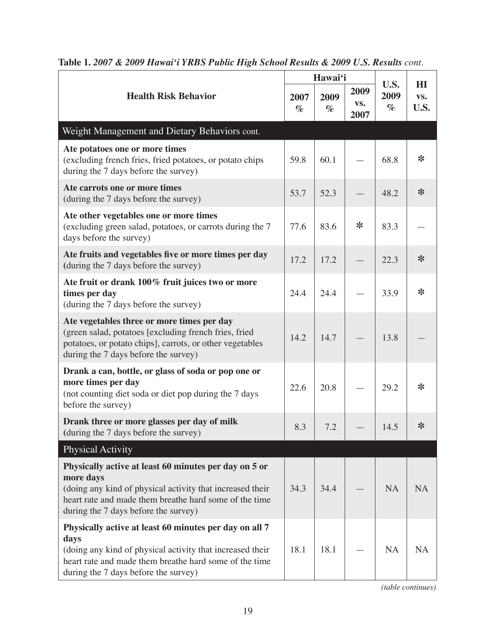|                                                                                                                                                                                                                                   |              | Hawai'i      |                     |                      | H <sub>I</sub> |
|-----------------------------------------------------------------------------------------------------------------------------------------------------------------------------------------------------------------------------------|--------------|--------------|---------------------|----------------------|----------------|
| <b>Health Risk Behavior</b>                                                                                                                                                                                                       | 2007<br>$\%$ | 2009<br>$\%$ | 2009<br>VS.<br>2007 | U.S.<br>2009<br>$\%$ | VS.<br>U.S.    |
| Weight Management and Dietary Behaviors cont.                                                                                                                                                                                     |              |              |                     |                      |                |
| Ate potatoes one or more times<br>(excluding french fries, fried potatoes, or potato chips<br>during the 7 days before the survey)                                                                                                | 59.8         | 60.1         |                     | 68.8                 | ∗              |
| Ate carrots one or more times<br>(during the 7 days before the survey)                                                                                                                                                            | 53.7         | 52.3         |                     | 48.2                 | $\ast$         |
| Ate other vegetables one or more times<br>(excluding green salad, potatoes, or carrots during the 7<br>days before the survey)                                                                                                    | 77.6         | 83.6         | ∗                   | 83.3                 |                |
| Ate fruits and vegetables five or more times per day<br>(during the 7 days before the survey)                                                                                                                                     | 17.2         | 17.2         |                     | 22.3                 | ∗              |
| Ate fruit or drank 100% fruit juices two or more<br>times per day<br>(during the 7 days before the survey)                                                                                                                        | 24.4         | 24.4         |                     | 33.9                 | $\ast$         |
| Ate vegetables three or more times per day<br>(green salad, potatoes [excluding french fries, fried<br>potatoes, or potato chips], carrots, or other vegetables<br>during the 7 days before the survey)                           | 14.2         | 14.7         |                     | 13.8                 |                |
| Drank a can, bottle, or glass of soda or pop one or<br>more times per day<br>(not counting diet soda or diet pop during the 7 days<br>before the survey)                                                                          | 22.6         | 20.8         |                     | 29.2                 | ∗              |
| Drank three or more glasses per day of milk<br>(during the 7 days before the survey)                                                                                                                                              | 8.3          | 7.2          |                     | 14.5                 | ∗              |
| <b>Physical Activity</b>                                                                                                                                                                                                          |              |              |                     |                      |                |
| Physically active at least 60 minutes per day on 5 or<br>more days<br>(doing any kind of physical activity that increased their<br>heart rate and made them breathe hard some of the time<br>during the 7 days before the survey) | 34.3         | 34.4         |                     | <b>NA</b>            | <b>NA</b>      |
| Physically active at least 60 minutes per day on all 7<br>days<br>(doing any kind of physical activity that increased their<br>heart rate and made them breathe hard some of the time<br>during the 7 days before the survey)     | 18.1         | 18.1         |                     | <b>NA</b>            | <b>NA</b>      |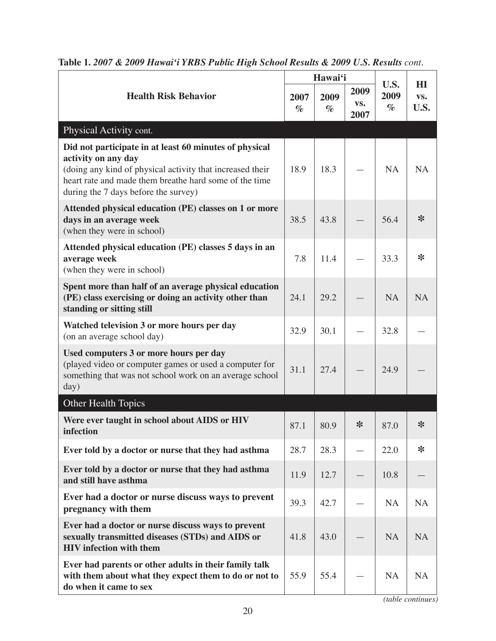|                                                                                                                                                                                                                                              |              | Hawai'i      |                     | U.S.         | H <sub>I</sub> |
|----------------------------------------------------------------------------------------------------------------------------------------------------------------------------------------------------------------------------------------------|--------------|--------------|---------------------|--------------|----------------|
| <b>Health Risk Behavior</b>                                                                                                                                                                                                                  | 2007<br>$\%$ | 2009<br>$\%$ | 2009<br>VS.<br>2007 | 2009<br>$\%$ | VS.<br>U.S.    |
| Physical Activity cont.                                                                                                                                                                                                                      |              |              |                     |              |                |
| Did not participate in at least 60 minutes of physical<br>activity on any day<br>(doing any kind of physical activity that increased their<br>heart rate and made them breathe hard some of the time<br>during the 7 days before the survey) | 18.9         | 18.3         |                     | <b>NA</b>    | <b>NA</b>      |
| Attended physical education (PE) classes on 1 or more<br>days in an average week<br>(when they were in school)                                                                                                                               | 38.5         | 43.8         |                     | 56.4         | $\ast$         |
| Attended physical education (PE) classes 5 days in an<br>average week<br>(when they were in school)                                                                                                                                          | 7.8          | 11.4         |                     | 33.3         | $\ast$         |
| Spent more than half of an average physical education<br>(PE) class exercising or doing an activity other than<br>standing or sitting still                                                                                                  | 24.1         | 29.2         |                     | <b>NA</b>    | <b>NA</b>      |
| Watched television 3 or more hours per day<br>(on an average school day)                                                                                                                                                                     | 32.9         | 30.1         |                     | 32.8         |                |
| Used computers 3 or more hours per day<br>(played video or computer games or used a computer for<br>something that was not school work on an average school<br>day)                                                                          | 31.1         | 27.4         |                     | 24.9         |                |
| Other Health Topics                                                                                                                                                                                                                          |              |              |                     |              |                |
| Were ever taught in school about AIDS or HIV<br>infection                                                                                                                                                                                    | 87.1         | 80.9         | $\ast$              | 87.0         | $*$            |
| Ever told by a doctor or nurse that they had asthma                                                                                                                                                                                          | 28.7         | 28.3         |                     | 22.0         | $\ast$         |
| Ever told by a doctor or nurse that they had asthma<br>and still have asthma                                                                                                                                                                 | 11.9         | 12.7         |                     | 10.8         |                |
| Ever had a doctor or nurse discuss ways to prevent<br>pregnancy with them                                                                                                                                                                    | 39.3         | 42.7         |                     | <b>NA</b>    | <b>NA</b>      |
| Ever had a doctor or nurse discuss ways to prevent<br>sexually transmitted diseases (STDs) and AIDS or<br><b>HIV</b> infection with them                                                                                                     | 41.8         | 43.0         |                     | <b>NA</b>    | <b>NA</b>      |
| Ever had parents or other adults in their family talk<br>with them about what they expect them to do or not to<br>do when it came to sex                                                                                                     | 55.9         | 55.4         |                     | <b>NA</b>    | <b>NA</b>      |

|  | Table 1. 2007 & 2009 Hawai'i YRBS Public High School Results & 2009 U.S. Results cont. |
|--|----------------------------------------------------------------------------------------|
|--|----------------------------------------------------------------------------------------|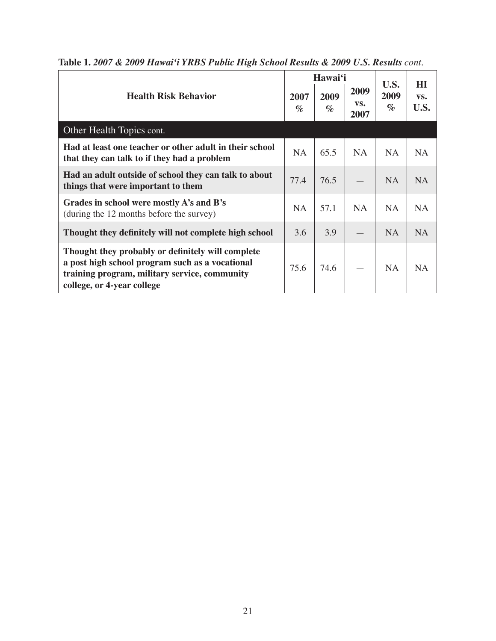|                                                                                                                                                                                     |              | Hawai'i      |                     |                      | H I         |
|-------------------------------------------------------------------------------------------------------------------------------------------------------------------------------------|--------------|--------------|---------------------|----------------------|-------------|
| <b>Health Risk Behavior</b>                                                                                                                                                         | 2007<br>$\%$ | 2009<br>$\%$ | 2009<br>VS.<br>2007 | U.S.<br>2009<br>$\%$ | VS.<br>U.S. |
| Other Health Topics cont.                                                                                                                                                           |              |              |                     |                      |             |
| Had at least one teacher or other adult in their school<br>that they can talk to if they had a problem                                                                              | <b>NA</b>    | 65.5         | <b>NA</b>           | <b>NA</b>            | <b>NA</b>   |
| Had an adult outside of school they can talk to about<br>things that were important to them                                                                                         | 77.4         | 76.5         |                     | <b>NA</b>            | <b>NA</b>   |
| Grades in school were mostly A's and B's<br>(during the 12 months before the survey)                                                                                                | <b>NA</b>    | 57.1         | <b>NA</b>           | <b>NA</b>            | <b>NA</b>   |
| Thought they definitely will not complete high school                                                                                                                               | 3.6          | 3.9          |                     | <b>NA</b>            | <b>NA</b>   |
| Thought they probably or definitely will complete<br>a post high school program such as a vocational<br>training program, military service, community<br>college, or 4-year college | 75.6         | 74.6         |                     | <b>NA</b>            | <b>NA</b>   |

**Table 1.** *2007 & 2009 Hawai'i YRBS Public High School Results & 2009 U.S. Results cont.*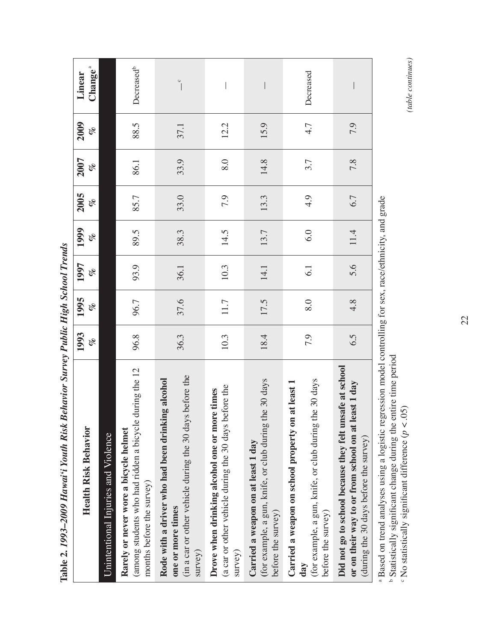|                                                                                                                                                                                                                                                     |            | ö          |            |            |             |            |            |                               |
|-----------------------------------------------------------------------------------------------------------------------------------------------------------------------------------------------------------------------------------------------------|------------|------------|------------|------------|-------------|------------|------------|-------------------------------|
| <b>Health Risk Behavior</b>                                                                                                                                                                                                                         | 1993<br>of | 1995<br>of | 1997<br>of | 1999<br>of | 2005<br>olo | 2007<br>of | 2009<br>of | Change <sup>a</sup><br>Linear |
| Unintentional Injuries and Violence                                                                                                                                                                                                                 |            |            |            |            |             |            |            |                               |
| (among students who had ridden a bicycle during the 12<br>Rarely or never wore a bicycle helmet<br>months before the survey)                                                                                                                        | 96.8       | 96.7       | 93.9       | 89.5       | 85.7        | 86.1       | 88.5       | Decreased <sup>b</sup>        |
| (in a car or other vehicle during the 30 days before the<br>Rode with a driver who had been drinking alcohol<br>one or more times<br>survey)                                                                                                        | 36.3       | 37.6       | 36.1       | 38.3       | 33.0        | 33.9       | 37.1       | $\circ$                       |
| before the<br>Drove when drinking alcohol one or more times<br>(a car or other vehicle during the 30 days<br>survey)                                                                                                                                | 10.3       | 11.7       | 10.3       | 14.5       | 7.9         | 8.0        | 12.2       |                               |
| the 30 days<br>(for example, a gun, knife, or club during<br>Carried a weapon on at least 1 day<br>before the survey)                                                                                                                               | 18.4       | 17.5       | 14.1       | 13.7       | 13.3        | 14.8       | 15.9       |                               |
| the 30 days<br>Carried a weapon on school property on at least 1<br>(for example, a gun, knife, or club during<br>before the survey)<br>dav                                                                                                         | 7.9        | 8.0        | 6.1        | 6.0        | 4.9         | 3.7        | 4.7        | Decreased                     |
| Did not go to school because they felt unsafe at school<br>least 1 day<br>or on their way to or from school on at<br>(during the 30 days before the survey)                                                                                         | 6.5        | 4.8        | 5.6        | 11.4       | 6.7         | 7.8        | 7.9        |                               |
| Based on trend analyses using a logistic regression model controlling for sex, race/ethnicity, and grade<br>entire time period<br>05)<br>Statistically significant change during the<br>$\in$ No statistically significant difference (n $\epsilon$ |            |            |            |            |             |            |            |                               |

Table 2. 1993–2009 Hawai'i Youth Risk Behavior Survey Public High School Trends **Table 2.** *1993–2009 Hawai'i Youth Risk Behavior Survey Public High School Trends*

No statistically significant difference  $(p < 0.05)$ 

(table continues) *(table continues)*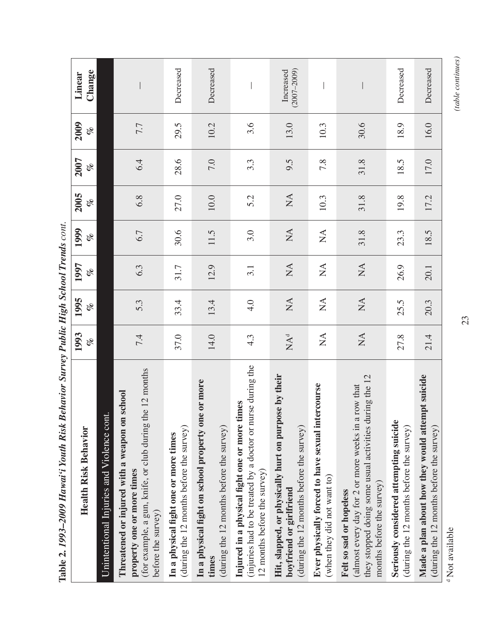| צטיי <b>ויט</b><br>Ancala ainmo r a am ann an ann an<br>c//T.mnm                                                                                                         |                        | $\sum_{n=1}^{\infty}$      |                        | UI li            |                            |            |            |                              |
|--------------------------------------------------------------------------------------------------------------------------------------------------------------------------|------------------------|----------------------------|------------------------|------------------|----------------------------|------------|------------|------------------------------|
| <b>Health Risk Behavior</b>                                                                                                                                              | 1993<br>of             | 1995<br>of                 | 1997<br>of             | 1999<br>of       | 2005<br>of                 | 2007<br>of | 2009<br>of | Change<br>Linear             |
| Unintentional Injuries and Violence cont.                                                                                                                                |                        |                            |                        |                  |                            |            |            |                              |
| the 12 months<br>Threatened or injured with a weapon on school<br>(for example, a gun, knife, or club during<br>property one or more times<br>before the survey)         | 7.4                    | 5.3                        | 6.3                    | 6.7              | 6.8                        | 6.4        | 7.7        |                              |
| (during the 12 months before the survey)<br>In a physical fight one or more times                                                                                        | 37.0                   | 33.4                       | 31.7                   | 30.6             | 27.0                       | 28.6       | 29.5       | Decreased                    |
| In a physical fight on school property one or more<br>(during the 12 months before the survey)<br>times                                                                  | 14.0                   | 13.4                       | 12.9                   | 11.5             | 10.0                       | 7.0        | 10.2       | Decreased                    |
| urse during the<br>times<br>Injured in a physical fight one or more t<br>injuries had to be treated by a doctor or n<br>$12$ months before the survey)                   | 4.3                    | 4.0                        | 3.1                    | 3.0              | 5.2                        | 3.3        | 3.6        |                              |
| Hit, slapped, or physically hurt on purpose by their<br>(during the 12 months before the survey)<br>boyfriend or girlfriend                                              | $NA^d$                 | $\sum$                     | $\mathop{\mathsf{NA}}$ | $\sum_{i=1}^{n}$ | $\mathop{\rm NA}\nolimits$ | 9.5        | 13.0       | $(2007 - 2009)$<br>Increased |
| tercourse<br>Ever physically forced to have sexual in<br>(when they did not want to)                                                                                     | $\sum_{i=1}^{n}$       | $\sum_{i=1}^{n}$           | $\sum_{i=1}^{n}$       | $\sum_{i=1}^{n}$ | 10.3                       | 7.8        | 10.3       |                              |
| they stopped doing some usual activities during the 12<br>a row that<br>(almost every day for 2 or more weeks in<br>months before the survey)<br>Felt so sad or hopeless | $\mathop{\mathrm{NA}}$ | $\mathop{\rm NA}\nolimits$ | $\mathop{\mathrm{NA}}$ | 31.8             | 31.8                       | 31.8       | 30.6       |                              |
| Seriously considered attempting suicide<br>(during the 12 months before the survey)                                                                                      | 27.8                   | 25.5                       | 26.9                   | 23.3             | 19.8                       | 18.5       | 18.9       | Decreased                    |
| Made a plan about how they would attempt suicide<br>(during the 12 months before the survey)                                                                             | 21.4                   | 20.3                       | 20.1                   | 18.5             | 17.2                       | 17.0       | 16.0       | Decreased                    |
|                                                                                                                                                                          |                        |                            |                        |                  |                            |            |            |                              |

Table 2. 1993–2009 Hawai'i Youth Risk Behavior Survey Public High School Trends cont. **Table 2.** *1993–2009 Hawai'i Youth Risk Behavior Survey Public High School Trends cont.*

<sup>d</sup> Not available Not available

(table continues) *(table continues)*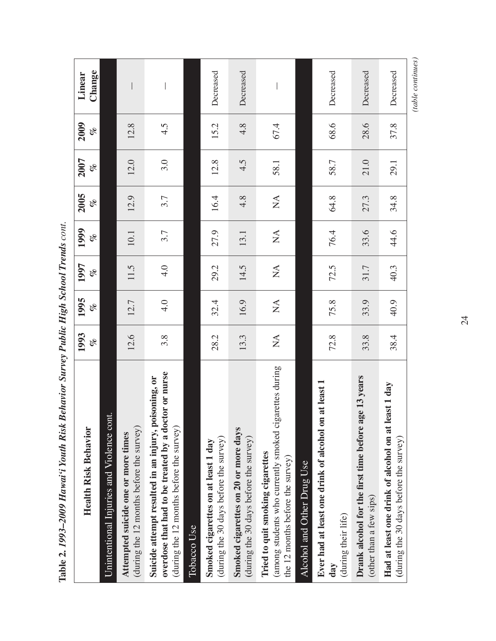| 2005<br>1999<br>1997<br>1995<br>1993<br><b>Health Risk Behavior</b> | of<br>of<br>of<br>of<br>of | Unintentional Injuries and Violence cont. | 12.9<br>10.1<br>11.5<br>12.7<br>12.6<br>(during the 12 months before the survey)<br>Attempted suicide one or more times | 3.7<br>3.7<br>4.0<br>4.0<br>3.8<br>overdose that had to be treated by a doctor or nurse<br>Suicide attempt resulted in an injury, poisoning, or<br>(during the 12 months before the survey) | 16.4<br>27.9<br>29.2<br>32.4<br>28.2<br>(during the 30 days before the survey)<br>Smoked cigarettes on at least 1 day | 4.8<br>13.1<br>14.5<br>16.9<br>13.3<br>Smoked cigarettes on 20 or more days<br>(during the 30 days before the survey) | $\stackrel{\Delta}{\simeq}$<br>$\stackrel{\Delta}{\simeq}$<br>$\stackrel{\Delta}{\simeq}$<br>$\stackrel{\Delta}{\simeq}$<br>$\stackrel{\Delta}{\geq}$<br>(among students who currently smoked cigarettes during<br>Tried to quit smoking cigarettes<br>the 12 months before the survey) | Alcohol and Other Drug Use | 64.8<br>76.4<br>72.5<br>75.8<br>72.8<br>Ever had at least one drink of alcohol on at least 1 | 27.3<br>33.6<br>31.7<br>33.9<br>33.8<br>ge 13 years<br>Drank alcohol for the first time before a | 44.6<br>40.3<br>40.9<br>38.4<br>east 1 day<br>Had at least one drink of alcohol on at l |
|---------------------------------------------------------------------|----------------------------|-------------------------------------------|-------------------------------------------------------------------------------------------------------------------------|---------------------------------------------------------------------------------------------------------------------------------------------------------------------------------------------|-----------------------------------------------------------------------------------------------------------------------|-----------------------------------------------------------------------------------------------------------------------|-----------------------------------------------------------------------------------------------------------------------------------------------------------------------------------------------------------------------------------------------------------------------------------------|----------------------------|----------------------------------------------------------------------------------------------|--------------------------------------------------------------------------------------------------|-----------------------------------------------------------------------------------------|
|                                                                     |                            |                                           |                                                                                                                         |                                                                                                                                                                                             |                                                                                                                       |                                                                                                                       |                                                                                                                                                                                                                                                                                         |                            |                                                                                              |                                                                                                  | 34.8                                                                                    |
| <b>2007</b>                                                         | of                         |                                           | 12.0                                                                                                                    | 3.0                                                                                                                                                                                         | 12.8                                                                                                                  | 4.5                                                                                                                   | 58.1                                                                                                                                                                                                                                                                                    |                            | 58.7                                                                                         | 21.0                                                                                             | 29.1                                                                                    |
| 2009                                                                | of                         |                                           | 12.8                                                                                                                    | 4.5                                                                                                                                                                                         | 15.2                                                                                                                  | 4.8                                                                                                                   | 67.4                                                                                                                                                                                                                                                                                    |                            | 68.6                                                                                         | 28.6                                                                                             | 37.8                                                                                    |
| Linear                                                              | Change                     |                                           |                                                                                                                         |                                                                                                                                                                                             | Decreased                                                                                                             | Decreased                                                                                                             |                                                                                                                                                                                                                                                                                         |                            | Decreased                                                                                    | Decreased                                                                                        | Decreased                                                                               |

Table 2. 1993-2009 Hawai'i Youth Risk Behavior Survey Public High School Trends cont. **Table 2.** *1993–2009 Hawai'i Youth Risk Behavior Survey Public High School Trends cont.* (table continues) *(table continues)*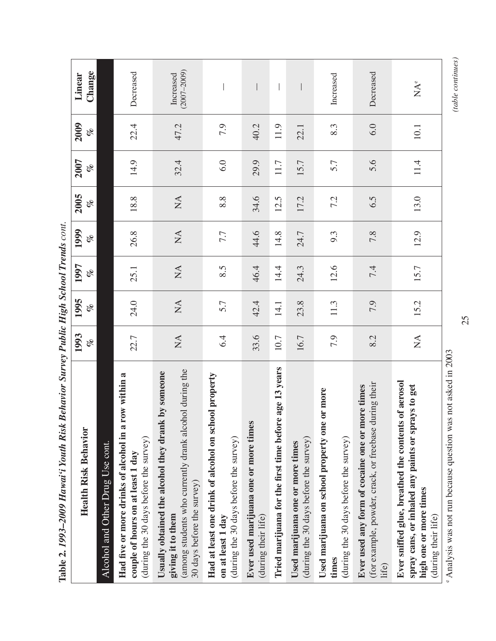| Dentarion Dan Key Theodor Thenas Commission<br>Ann mmn i Tomm Tront-<br>$1$ abic 4. $1/7$                                                                       |                             |                            |                           |                            |                        |            |            |                              |
|-----------------------------------------------------------------------------------------------------------------------------------------------------------------|-----------------------------|----------------------------|---------------------------|----------------------------|------------------------|------------|------------|------------------------------|
| <b>Health Risk Behavior</b>                                                                                                                                     | 1993<br>olo                 | 1995<br>of                 | 1997<br>of                | 1999<br>of                 | 2005<br>of             | 2007<br>of | 2009<br>of | Change<br>Linear             |
| Alcohol and Other Drug Use cont.                                                                                                                                |                             |                            |                           |                            |                        |            |            |                              |
| row within a<br>Had five or more drinks of alcohol in a<br>(during the 30 days before the survey)<br>couple of hours on at least 1 day                          | 22.7                        | 24.0                       | 25.1                      | 26.8                       | 18.8                   | 14.9       | 22.4       | Decreased                    |
| (among students who currently drank alcohol during the<br>Usually obtained the alcohol they drank by someone<br>30 days before the survey)<br>giving it to them | $\stackrel{\Delta}{\geq}$   | $\mathop{\rm NA}\nolimits$ | $\stackrel{\Delta}{\geq}$ | $\mathop{\rm NA}\nolimits$ | $\mathop{\mathsf{NA}}$ | 32.4       | 47.2       | $(2007 - 2009)$<br>Increased |
| Had at least one drink of alcohol on school property<br>(during the 30 days before the survey)<br>on at least 1 day                                             | 6.4                         | 5.7                        | 8.5                       | 7.7                        | 8.8                    | 6.0        | 7.9        |                              |
| Ever used marijuana one or more times<br>(during their life)                                                                                                    | 33.6                        | 42.4                       | 46.4                      | 44.6                       | 34.6                   | 29.9       | 40.2       |                              |
| Tried marijuana for the first time before age 13 years                                                                                                          | 10.7                        | 14.1                       | 14.4                      | 14.8                       | 12.5                   | 11.7       | 11.9       |                              |
| (during the 30 days before the survey)<br>Used marijuana one or more times                                                                                      | 16.7                        | 23.8                       | 24.3                      | 24.7                       | 17.2                   | 15.7       | 22.1       |                              |
| Used marijuana on school property one or more<br>(during the 30 days before the survey)<br>times                                                                | 7.9                         | 11.3                       | 12.6                      | 9.3                        | 7.2                    | 5.7        | 8.3        | Increased                    |
| (for example, powder, crack, or freebase during their<br>Ever used any form of cocaine one or more times<br>life)                                               | 8.2                         | 7.9                        | 7.4                       | 7.8                        | 6.5                    | 5.6        | 6.0        | Decreased                    |
| Ever sniffed glue, breathed the contents of aerosol<br>spray cans, or inhaled any paints or sprays to get<br>high one or more times<br>(during their life)      | $\stackrel{\Delta}{\simeq}$ | 15.2                       | 15.7                      | 12.9                       | 13.0                   | 11.4       | 10.1       | $\mathbf{NA}^\circ$          |
|                                                                                                                                                                 |                             |                            |                           |                            |                        |            |            |                              |

Table 2. 1993–2009 Hawai'i Youth Risk Behavior Survey Public High School Trends cont. **Table 2.** *1993–2009 Hawai'i Youth Risk Behavior Survey Public High School Trends cont.*

e Analysis was not run because question was not asked in 2003 Analysis was not run because question was not asked in 2003

 $\qquad \qquad (table~continues)$ *(table continues)*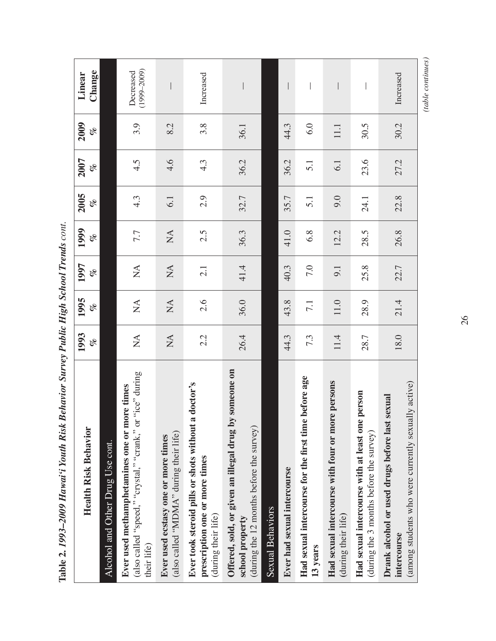| <b>Health Risk Behavior</b>                                                                                              | 1993<br>olo      | 1995<br>olo            | 1997<br>of                | 1999<br>of             | 2005<br>of       | 2007<br>of       | 2009<br>of | Change<br>Linear             |
|--------------------------------------------------------------------------------------------------------------------------|------------------|------------------------|---------------------------|------------------------|------------------|------------------|------------|------------------------------|
| Alcohol and Other Drug Use cont.                                                                                         |                  |                        |                           |                        |                  |                  |            |                              |
| (also called "speed," "crystal," "crank," or "ice" during<br>Ever used methamphetamines one or more times<br>their life) | $\sum_{i=1}^{n}$ | $\sum_{i=1}^{n}$       | $\stackrel{\Delta}{\geq}$ | 7.7                    | $4.\overline{3}$ | 4.5              | 3.9        | $(1999 - 2009)$<br>Decreased |
| (also called "MDMA" during their life)<br>Ever used ecstasy one or more times                                            | $\mathbb{A}$     | $\mathop{\mathrm{NA}}$ | $\stackrel{\Delta}{\geq}$ | $\mathop{\mathsf{NA}}$ | 6.1              | 4.6              | 8.2        |                              |
| a doctor's<br>Ever took steroid pills or shots without<br>prescription one or more times<br>(during their life)          | 2.2              | 2.6                    | 2.1                       | 2.5                    | 2.9              | 4.3              | 3.8        | Increased                    |
| Offered, sold, or given an illegal drug by someone on<br>(during the 12 months before the survey)<br>school property     | 26.4             | 36.0                   | 41.4                      | 36.3                   | 32.7             | 36.2             | 36.1       |                              |
| Sexual Behaviors                                                                                                         |                  |                        |                           |                        |                  |                  |            |                              |
| Ever had sexual intercourse                                                                                              | 44.3             | 43.8                   | 40.3                      | 41.0                   | 35.7             | 36.2             | 44.3       |                              |
| Had sexual intercourse for the first time before age<br>13 years                                                         | 7.3              | 7.1                    | 7.0                       | 6.8                    | 5.1              | $\overline{5}$ : | 6.0        |                              |
| re persons<br>Had sexual intercourse with four or mo<br>(during their life)                                              | 11.4             | 11.0                   | 9.1                       | 12.2                   | 9.0              | 6.1              | 11.1       |                              |
| Had sexual intercourse with at least one person<br>(during the 3 months before the survey)                               | 28.7             | 28.9                   | 25.8                      | 28.5                   | 24.1             | 23.6             | 30.5       |                              |
| (among students who were currently sexually active)<br>sexual<br>Drank alcohol or used drugs before last<br>intercourse  | 18.0             | 21.4                   | 22.7                      | 26.8                   | 22.8             | 27.2             | 30.2       | Increased                    |

Table 2. 1993-2009 Hawai'i Youth Risk Behavior Survey Public High School Trends cont. **Table 2.** *1993–2009 Hawai'i Youth Risk Behavior Survey Public High School Trends cont.*  $\qquad \qquad (table~continues)$ *(table continues)*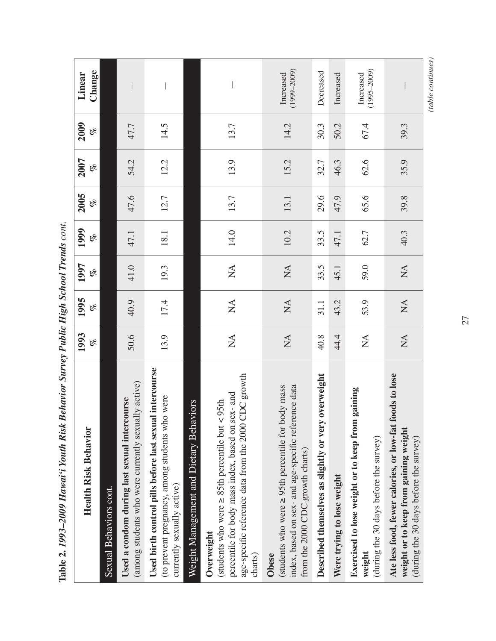| <b>Health Risk Behavior</b>                                                                                                                                                                     | 1993<br>olo               | 1995<br>of                | 1997<br>of                     | 1999<br>olo | 2005<br>of | 2007<br>of | 2009<br>of | Change<br>Linear             |
|-------------------------------------------------------------------------------------------------------------------------------------------------------------------------------------------------|---------------------------|---------------------------|--------------------------------|-------------|------------|------------|------------|------------------------------|
| Sexual Behaviors cont.                                                                                                                                                                          |                           |                           |                                |             |            |            |            |                              |
| (among students who were currently sexually active)<br>Used a condom during last sexual intercourse                                                                                             | 50.6                      | 40.9                      | 41.0                           | 47.1        | 47.6       | 54.2       | 47.7       |                              |
| Used birth control pills before last sexual intercourse<br>(to prevent pregnancy, among students who were<br>currently sexually active)                                                         | 13.9                      | 17.4                      | 19.3                           | 18.1        | 12.7       | 12.2       | 14.5       |                              |
| Weight Management and Dietary Behaviors                                                                                                                                                         |                           |                           |                                |             |            |            |            |                              |
| CDC growth<br>sex-and<br>(students who were $\geq$ 85th percentile but < 95th<br>age-specific reference data from the 2000<br>percentile for body mass index, based on<br>Overweight<br>charts) | $\sum_{i=1}^{n}$          | $\sum_{i=1}^{n}$          | $\sum_{i=1}^{n}$               | 14.0        | 13.7       | 13.9       | 13.7       |                              |
| ssam yboc<br>index, based on sex- and age-specific reference data<br>(students who were $\geq$ 95th percentile for 1<br>from the 2000 CDC growth charts)<br>Obese                               | $\mathop{\mathsf{NA}}$    | $\mathop{\mathrm{NA}}$    | $\stackrel{\triangle}{\simeq}$ | 10.2        | 13.1       | 15.2       | 14.2       | $(1999 - 2009)$<br>Increased |
| Described themselves as slightly or very overweight                                                                                                                                             | 40.8                      | 31.1                      | 33.5                           | 33.5        | 29.6       | 32.7       | 30.3       | Decreased                    |
| Were trying to lose weight                                                                                                                                                                      | 44.4                      | 43.2                      | 45.1                           | 47.1        | 47.9       | 46.3       | 50.2       | Increased                    |
| Exercised to lose weight or to keep from gaining<br>(during the 30 days before the survey)<br>weight                                                                                            | $\stackrel{\Delta}{\geq}$ | 53.9                      | 59.0                           | 62.7        | 65.6       | 62.6       | 67.4       | $(1995 - 2009)$<br>Increased |
| foods to lose<br>Ate less food, fewer calories, or low-fat<br>weight or to keep from gaining weight<br>(during the 30 days before the survey)                                                   | $\sum_{i=1}^{n}$          | $\mathbb{X}^{\mathsf{A}}$ | $\mathbb{X}^{\mathsf{A}}$      | 40.3        | 39.8       | 35.9       | 39.3       |                              |

Table 2. 1993-2009 Hawai'i Youth Risk Behavior Survey Public High School Trends cont. **Table 2.** *1993–2009 Hawai'i Youth Risk Behavior Survey Public High School Trends cont.* (table continues) *(table continues)*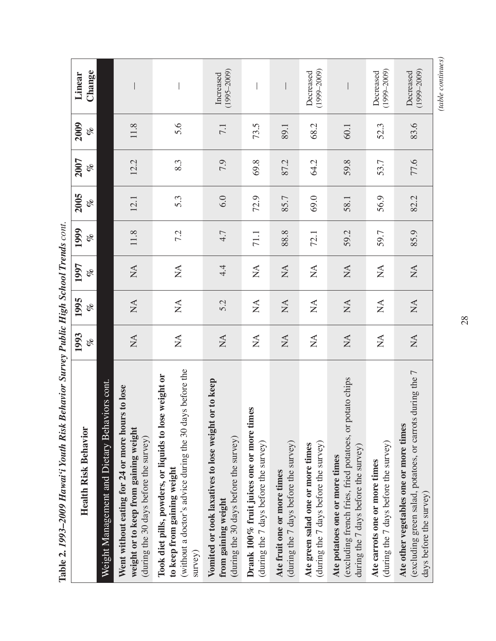| Dellariol Darley Lading High Deliver Trenas Colli.<br>WWW Unnot 1 nounce Cock T. 5 Sumpt                                                                     |                                |                              |                                |             |            |             |             |                              |
|--------------------------------------------------------------------------------------------------------------------------------------------------------------|--------------------------------|------------------------------|--------------------------------|-------------|------------|-------------|-------------|------------------------------|
| <b>Health Risk Behavior</b>                                                                                                                                  | 1993<br>of                     | 1995<br>olo                  | 1997<br>of                     | 1999<br>olo | 2005<br>of | 2007<br>olo | 2009<br>olo | Change<br>Linear             |
| iviors cont.<br>Weight Management and Dietary Beha                                                                                                           |                                |                              |                                |             |            |             |             |                              |
| Went without eating for 24 or more hours to lose<br>weight or to keep from gaining weight<br>(during the 30 days before the survey)                          | $\mathop{\rm NA}\nolimits$     | $\mathop{\mathrm{NA}}$       | $\mathop{\mathrm{NA}}$         | 11.8        | 12.1       | 12.2        | 11.8        |                              |
| (without a doctor's advice during the 30 days before the<br>Took diet pills, powders, or liquids to lose weight or<br>to keep from gaining weight<br>survey) | $\sum_{i=1}^{n}$               | $\stackrel{\triangle}{\geq}$ | $\stackrel{\triangle}{\simeq}$ | 7.2         | 5.3        | 8.3         | 5.6         |                              |
| or to keep<br>Vomited or took laxatives to lose weight<br>(during the 30 days before the survey)<br>from gaining weight                                      | $\mathop{\rm NA}\nolimits$     | 5.2                          | 4.4                            | 4.7         | 6.0        | 7.9         | 7.1         | $(1995 - 2009)$<br>Increased |
| Drank 100% fruit juices one or more times<br>(during the 7 days before the survey)                                                                           | $\stackrel{\triangle}{\simeq}$ | $\sum_{i=1}^{n}$             | $\stackrel{\triangle}{\simeq}$ | 71.1        | 72.9       | 69.8        | 73.5        |                              |
| (during the 7 days before the survey)<br>Ate fruit one or more times                                                                                         | $\mathop{\mathsf{NA}}$         | $\mathop{\mathsf{NA}}$       | $\stackrel{\Delta}{\geq}$      | 88.8        | 85.7       | 87.2        | 89.1        |                              |
| (during the 7 days before the survey)<br>Ate green salad one or more times                                                                                   | $\sum_{i=1}^{n}$               | $\stackrel{\Delta}{\geq}$    | $\stackrel{\triangle}{\simeq}$ | 72.1        | 69.0       | 64.2        | 68.2        | $(1999 - 2009)$<br>Decreased |
| potato chips<br>(excluding french fries, fried potatoes, or<br>during the $7$ days before the survey)<br>Ate potatoes one or more times                      | $\mathop{\rm NA}\nolimits$     | $\mathop{\mathrm{NA}}$       | $\stackrel{\Delta}{\geq}$      | 59.2        | 58.1       | 59.8        | 60.1        |                              |
| (during the 7 days before the survey)<br>Ate carrots one or more times                                                                                       | $\sum_{i=1}^{n}$               | $\mathop{\mathsf{NA}}$       | $\stackrel{\triangle}{\simeq}$ | 59.7        | 56.9       | 53.7        | 52.3        | $(1999 - 2009)$<br>Decreased |
| s during the 7<br>Ate other vegetables one or more times<br>(excluding green salad, potatoes, or carrot<br>days before the survey)                           | $\mathop{\mathrm{NA}}$         | $\mathop{\mathsf{NA}}$       | $\mathop{\rm NA}\nolimits$     | 85.9        | 82.2       | 77.6        | 83.6        | $(1999 - 2009)$<br>Decreased |

Table 2, 1993–2009 Hawai'i Youth Risk Rehavior Survey Public High School Trends cont **Table 2.** *1993–2009 Hawai'i Youth Risk Behavior Survey Public High School Trends cont.*

28

# (table continues) *(table continues)*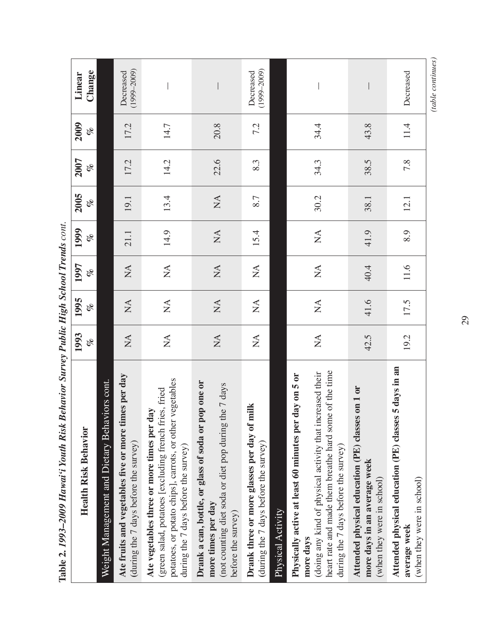| Dention Dat Les T annoires Therman Countries<br>Lable 4.1// $J$                                                                                                                                                                     |                        |                                |                                |                             |                        |           |             |                              |  |
|-------------------------------------------------------------------------------------------------------------------------------------------------------------------------------------------------------------------------------------|------------------------|--------------------------------|--------------------------------|-----------------------------|------------------------|-----------|-------------|------------------------------|--|
| <b>Health Risk Behavior</b>                                                                                                                                                                                                         | 1993<br>olo            | 1995<br>of                     | 1997<br>Le                     | 1999<br>of                  | 2005<br>olo            | 2007<br>E | 2009<br>olo | Change<br>Linear             |  |
| Weight Management and Dietary Behaviors cont.                                                                                                                                                                                       |                        |                                |                                |                             |                        |           |             |                              |  |
| Ate fruits and vegetables five or more times per day<br>(during the 7 days before the survey)                                                                                                                                       | $\sum_{i=1}^{n}$       | $\sum$                         | $\stackrel{\triangle}{\simeq}$ | 21.1                        | 19.1                   | 17.2      | 17.2        | $(1999 - 2009)$<br>Decreased |  |
| potatoes, or potato chips], carrots, or other vegetables<br>(green salad, potatoes [excluding french fries, fried<br>Ate vegetables three or more times per day<br>during the 7 days before the survey)                             | $\sum_{i=1}^{n}$       | $\sum_{i=1}^{n}$               | $\mathop{\mathsf{NA}}$         | 14.9                        | 13.4                   | 14.2      | 14.7        |                              |  |
| Drank a can, bottle, or glass of soda or pop one or<br>(not counting diet soda or diet pop during the 7 days<br>more times per day<br>before the survey)                                                                            | $\mathop{\mathrm{NA}}$ | $\sum$                         | $\mathop{\rm NA}\nolimits$     | $\stackrel{\Delta}{\simeq}$ | $\mathop{\mathrm{NA}}$ | 22.6      | 20.8        |                              |  |
| Drank three or more glasses per day of milk<br>(during the 7 days before the survey)<br>Physical Activity                                                                                                                           | $\sum_{i=1}^{n}$       | $\sum_{i=1}^{n}$               | $\sum_{i=1}^{n}$               | 15.4                        | 8.7                    | 8.3       | 7.2         | $(1999 - 2009)$<br>Decreased |  |
| heart rate and made them breathe hard some of the time<br>(doing any kind of physical activity that increased their<br>Physically active at least 60 minutes per day on 5 or<br>during the $7$ days before the survey)<br>more days | $\sum_{i=1}^{n}$       | $\stackrel{\triangle}{\simeq}$ | $\stackrel{\triangle}{\simeq}$ | $\stackrel{\Delta}{\simeq}$ | 30.2                   | 34.3      | 34.4        |                              |  |
| Attended physical education (PE) classes on 1 or<br>more days in an average week<br>(when they were in school)                                                                                                                      | 42.5                   | 41.6                           | 40.4                           | 41.9                        | 38.1                   | 38.5      | 43.8        |                              |  |
| Attended physical education (PE) classes 5 days in an<br>(when they were in school)<br>average week                                                                                                                                 | 19.2                   | 17.5                           | 11.6                           | 8.9                         | 12.1                   | 7.8       | 11.4        | Decreased                    |  |
|                                                                                                                                                                                                                                     |                        |                                |                                |                             |                        |           |             | (table continues)            |  |

Table 2. 1993–2009 Hawai'i Youth Risk Behavior Survey Public High School Trends cont. **Table 2.** *1993–2009 Hawai'i Youth Risk Behavior Survey Public High School Trends cont.*

29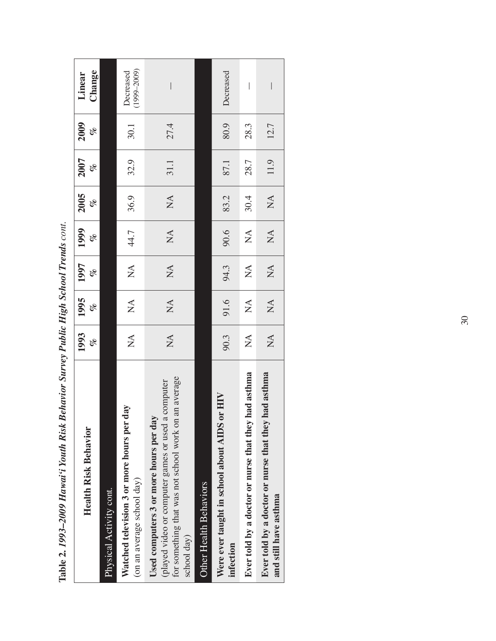| Denne Dui regie Denne Hann Tenne<br>$\frac{1}{2}$ and $\frac{1}{2}$ and $\frac{1}{2}$ and $\frac{1}{2}$ and $\frac{1}{2}$ and $\frac{1}{2}$ and $\frac{1}{2}$ and $\frac{1}{2}$ |                                |                            |                                  |                           |                  |            |             |                              |
|---------------------------------------------------------------------------------------------------------------------------------------------------------------------------------|--------------------------------|----------------------------|----------------------------------|---------------------------|------------------|------------|-------------|------------------------------|
| <b>Health Risk Behavior</b>                                                                                                                                                     | 1993<br>olo                    | 1995<br>Le                 | 1997<br>olo                      | 1999<br>Le                | 2005<br>olo      | 2007<br>of | 2009<br>olo | Change<br>Linear             |
| Physical Activity cont.                                                                                                                                                         |                                |                            |                                  |                           |                  |            |             |                              |
| day<br>Watched television 3 or more hours per<br>(on an average school day)                                                                                                     | $\stackrel{\triangle}{\simeq}$ | $\mathbb{X}$               | $\overline{M}$                   | 44.7                      | 36.9             | 32.9       | 30.1        | $(1999 - 2009)$<br>Decreased |
| for something that was not school work on an average<br>a computer<br>Used computers 3 or more hours per day<br>(played video or computer games or used<br>school day)          | $\sum_{i=1}^{n}$               | $M\triangle$               | $\sum_{i=1}^{n}$                 | $\mathbb{X}^{\mathsf{A}}$ | $\sum_{i=1}^{n}$ | 31.1       | 27.4        | $\overline{\phantom{a}}$     |
| <b>Other Health Behaviors</b>                                                                                                                                                   |                                |                            |                                  |                           |                  |            |             |                              |
| or HIV<br>Were ever taught in school about AIDS<br>infection                                                                                                                    | 90.3                           | 91.6                       | 94.3                             | 90.6                      | 83.2             | 87.1       | 80.9        | Decreased                    |
| Ever told by a doctor or nurse that they had asthma                                                                                                                             | $\sum_{i=1}^{n}$               | $\sum_{i=1}^{n}$           | $\mathbb{X}^{\mathsf{A}}$        | $\mathbb{X}^{\mathsf{A}}$ | 30.4             | 28.7       | 28.3        | $\bigg $                     |
| Ever told by a doctor or nurse that they had asthma<br>and still have asthma                                                                                                    | $\sum_{i=1}^{n}$               | $\mathop{\rm NA}\nolimits$ | $\mathop{\mathfrak{L}}\nolimits$ | $\mathbb{X}^{\mathsf{A}}$ | $\mathbb{Z}^4$   | 11.9       | 12.7        | I                            |

| l                    |
|----------------------|
| ١                    |
|                      |
|                      |
|                      |
|                      |
|                      |
|                      |
| $\zeta$              |
|                      |
|                      |
| )                    |
| ,<br>;<br>;<br>l     |
| י                    |
| ;                    |
|                      |
|                      |
|                      |
|                      |
| Í                    |
|                      |
|                      |
|                      |
|                      |
|                      |
|                      |
| ļ                    |
|                      |
|                      |
|                      |
|                      |
|                      |
|                      |
|                      |
|                      |
|                      |
|                      |
|                      |
|                      |
|                      |
|                      |
|                      |
| $\frac{1}{2}$        |
|                      |
|                      |
|                      |
|                      |
|                      |
|                      |
|                      |
| ,,,,                 |
| $\ddot{\phantom{a}}$ |
|                      |
|                      |
|                      |
|                      |
|                      |
|                      |
|                      |
|                      |
| ι                    |
|                      |
|                      |
|                      |
|                      |
|                      |
|                      |
| TOO ADONT            |
|                      |
|                      |
|                      |
|                      |
|                      |
| Tahl<br>ĺ            |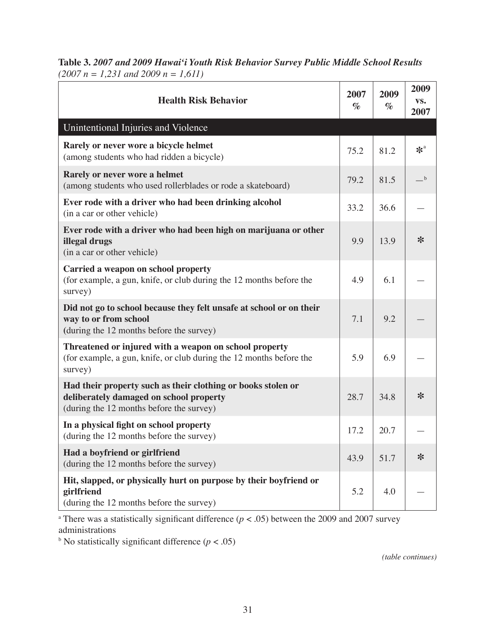| Table 3. 2007 and 2009 Hawai'i Youth Risk Behavior Survey Public Middle School Results |  |  |
|----------------------------------------------------------------------------------------|--|--|
| $(2007 n = 1,231$ and $2009 n = 1,611)$                                                |  |  |

| <b>Health Risk Behavior</b>                                                                                                                         | 2007<br>$\%$ | 2009<br>$\%$ | 2009<br>VS.<br>2007 |
|-----------------------------------------------------------------------------------------------------------------------------------------------------|--------------|--------------|---------------------|
| Unintentional Injuries and Violence                                                                                                                 |              |              |                     |
| Rarely or never wore a bicycle helmet<br>(among students who had ridden a bicycle)                                                                  | 75.2         | 81.2         | $*^a$               |
| Rarely or never wore a helmet<br>(among students who used rollerblades or rode a skateboard)                                                        | 79.2         | 81.5         | $-{}^{\rm b}$       |
| Ever rode with a driver who had been drinking alcohol<br>(in a car or other vehicle)                                                                | 33.2         | 36.6         |                     |
| Ever rode with a driver who had been high on marijuana or other<br>illegal drugs<br>(in a car or other vehicle)                                     | 9.9          | 13.9         | ∗                   |
| Carried a weapon on school property<br>(for example, a gun, knife, or club during the 12 months before the<br>survey)                               | 4.9          | 6.1          |                     |
| Did not go to school because they felt unsafe at school or on their<br>way to or from school<br>(during the 12 months before the survey)            | 7.1          | 9.2          |                     |
| Threatened or injured with a weapon on school property<br>(for example, a gun, knife, or club during the 12 months before the<br>survey)            | 5.9          | 6.9          |                     |
| Had their property such as their clothing or books stolen or<br>deliberately damaged on school property<br>(during the 12 months before the survey) | 28.7         | 34.8         | ∗                   |
| In a physical fight on school property<br>(during the 12 months before the survey)                                                                  | 17.2         | 20.7         |                     |
| Had a boyfriend or girlfriend<br>(during the 12 months before the survey)                                                                           | 43.9         | 51.7         | $\ast$              |
| Hit, slapped, or physically hurt on purpose by their boyfriend or<br>girlfriend<br>(during the 12 months before the survey)                         | 5.2          | 4.0          |                     |

<sup>a</sup> There was a statistically significant difference  $(p < .05)$  between the 2009 and 2007 survey administrations

<sup>b</sup> No statistically significant difference  $(p < .05)$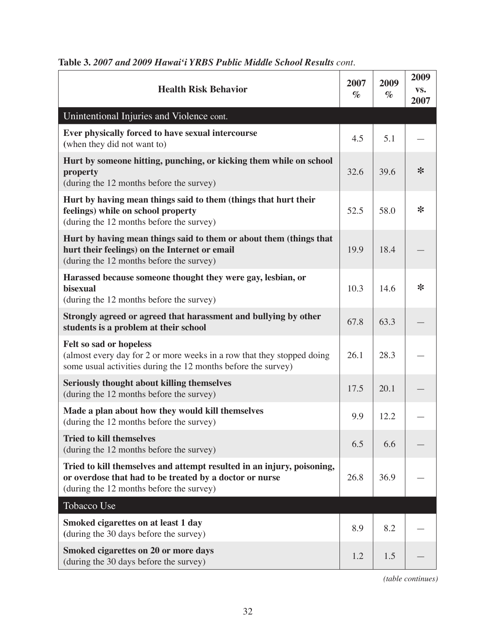| <b>Health Risk Behavior</b>                                                                                                                                                   | 2007<br>$\%$ | 2009<br>$\%$ | 2009<br>VS.<br>2007 |
|-------------------------------------------------------------------------------------------------------------------------------------------------------------------------------|--------------|--------------|---------------------|
| Unintentional Injuries and Violence cont.                                                                                                                                     |              |              |                     |
| Ever physically forced to have sexual intercourse<br>(when they did not want to)                                                                                              | 4.5          | 5.1          |                     |
| Hurt by someone hitting, punching, or kicking them while on school<br>property<br>(during the 12 months before the survey)                                                    | 32.6         | 39.6         | $\ast$              |
| Hurt by having mean things said to them (things that hurt their<br>feelings) while on school property<br>(during the 12 months before the survey)                             | 52.5         | 58.0         | ∗                   |
| Hurt by having mean things said to them or about them (things that<br>hurt their feelings) on the Internet or email<br>(during the 12 months before the survey)               | 19.9         | 18.4         |                     |
| Harassed because someone thought they were gay, lesbian, or<br>bisexual<br>(during the 12 months before the survey)                                                           | 10.3         | 14.6         | $\ast$              |
| Strongly agreed or agreed that harassment and bullying by other<br>students is a problem at their school                                                                      | 67.8         | 63.3         |                     |
| Felt so sad or hopeless<br>(almost every day for 2 or more weeks in a row that they stopped doing<br>some usual activities during the 12 months before the survey)            | 26.1         | 28.3         |                     |
| Seriously thought about killing themselves<br>(during the 12 months before the survey)                                                                                        | 17.5         | 20.1         |                     |
| Made a plan about how they would kill themselves<br>(during the 12 months before the survey)                                                                                  | 9.9          | 12.2         |                     |
| <b>Tried to kill themselves</b><br>(during the 12 months before the survey)                                                                                                   | 6.5          | 6.6          |                     |
| Tried to kill themselves and attempt resulted in an injury, poisoning,<br>or overdose that had to be treated by a doctor or nurse<br>(during the 12 months before the survey) | 26.8         | 36.9         |                     |
| Tobacco Use                                                                                                                                                                   |              |              |                     |
| Smoked cigarettes on at least 1 day<br>(during the 30 days before the survey)                                                                                                 | 8.9          | 8.2          |                     |
| <b>Smoked cigarettes on 20 or more days</b><br>(during the 30 days before the survey)                                                                                         | 1.2          | 1.5          |                     |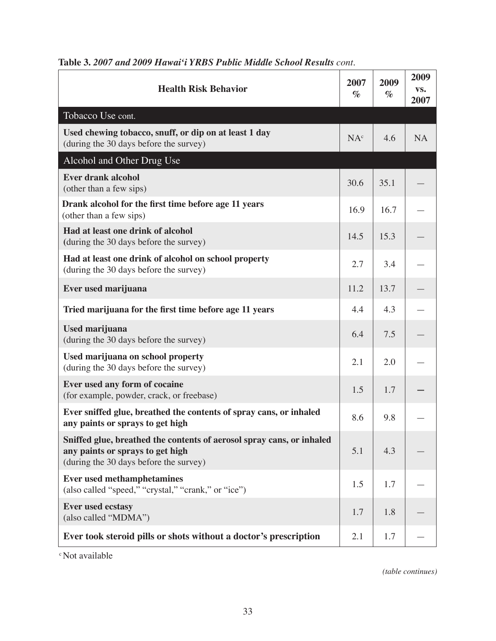| <b>Health Risk Behavior</b>                                                                                                                         | 2007<br>$\%$    | 2009<br>$\%$ | 2009<br>VS.<br>2007 |
|-----------------------------------------------------------------------------------------------------------------------------------------------------|-----------------|--------------|---------------------|
| Tobacco Use cont.                                                                                                                                   |                 |              |                     |
| Used chewing tobacco, snuff, or dip on at least 1 day<br>(during the 30 days before the survey)                                                     | NA <sup>c</sup> | 4.6          | <b>NA</b>           |
| Alcohol and Other Drug Use                                                                                                                          |                 |              |                     |
| <b>Ever drank alcohol</b><br>(other than a few sips)                                                                                                | 30.6            | 35.1         |                     |
| Drank alcohol for the first time before age 11 years<br>(other than a few sips)                                                                     | 16.9            | 16.7         |                     |
| Had at least one drink of alcohol<br>(during the 30 days before the survey)                                                                         | 14.5            | 15.3         |                     |
| Had at least one drink of alcohol on school property<br>(during the 30 days before the survey)                                                      | 2.7             | 3.4          |                     |
| Ever used marijuana                                                                                                                                 | 11.2            | 13.7         |                     |
| Tried marijuana for the first time before age 11 years                                                                                              | 4.4             | 4.3          |                     |
| Used marijuana<br>(during the 30 days before the survey)                                                                                            | 6.4             | 7.5          |                     |
| Used marijuana on school property<br>(during the 30 days before the survey)                                                                         | 2.1             | 2.0          |                     |
| Ever used any form of cocaine<br>(for example, powder, crack, or freebase)                                                                          | 1.5             | 1.7          |                     |
| Ever sniffed glue, breathed the contents of spray cans, or inhaled<br>any paints or sprays to get high                                              | 8.6             | 9.8          |                     |
| Sniffed glue, breathed the contents of aerosol spray cans, or inhaled<br>any paints or sprays to get high<br>(during the 30 days before the survey) | 5.1             | 4.3          |                     |
| <b>Ever used methamphetamines</b><br>(also called "speed," "crystal," "crank," or "ice")                                                            | 1.5             | 1.7          |                     |
| <b>Ever used ecstasy</b><br>(also called "MDMA")                                                                                                    | 1.7             | 1.8          |                     |
| Ever took steroid pills or shots without a doctor's prescription                                                                                    | 2.1             | 1.7          |                     |

<sup>c</sup> Not available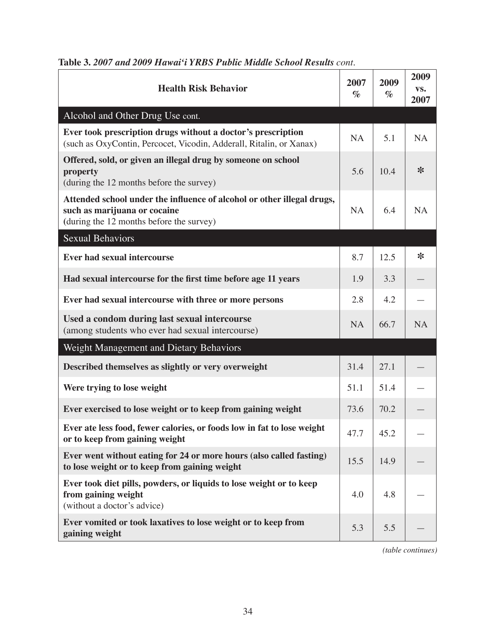| <b>Health Risk Behavior</b>                                                                                                                        | 2007<br>$\%$ | 2009<br>$\%$ | 2009<br>VS.<br>2007 |
|----------------------------------------------------------------------------------------------------------------------------------------------------|--------------|--------------|---------------------|
| Alcohol and Other Drug Use cont.                                                                                                                   |              |              |                     |
| Ever took prescription drugs without a doctor's prescription<br>(such as OxyContin, Percocet, Vicodin, Adderall, Ritalin, or Xanax)                | <b>NA</b>    | 5.1          | <b>NA</b>           |
| Offered, sold, or given an illegal drug by someone on school<br>property<br>(during the 12 months before the survey)                               | 5.6          | 10.4         | $\ast$              |
| Attended school under the influence of alcohol or other illegal drugs,<br>such as marijuana or cocaine<br>(during the 12 months before the survey) | <b>NA</b>    | 6.4          | <b>NA</b>           |
| Sexual Behaviors                                                                                                                                   |              |              |                     |
| Ever had sexual intercourse                                                                                                                        | 8.7          | 12.5         | $\ast$              |
| Had sexual intercourse for the first time before age 11 years                                                                                      | 1.9          | 3.3          |                     |
| Ever had sexual intercourse with three or more persons                                                                                             | 2.8          | 4.2          |                     |
| Used a condom during last sexual intercourse<br>(among students who ever had sexual intercourse)                                                   | <b>NA</b>    | 66.7         | <b>NA</b>           |
| Weight Management and Dietary Behaviors                                                                                                            |              |              |                     |
| Described themselves as slightly or very overweight                                                                                                | 31.4         | 27.1         |                     |
| Were trying to lose weight                                                                                                                         | 51.1         | 51.4         |                     |
| Ever exercised to lose weight or to keep from gaining weight                                                                                       | 73.6         | 70.2         |                     |
| Ever ate less food, fewer calories, or foods low in fat to lose weight<br>or to keep from gaining weight                                           | 47.7         | 45.2         |                     |
| Ever went without eating for 24 or more hours (also called fasting)<br>to lose weight or to keep from gaining weight                               | 15.5         | 14.9         |                     |
| Ever took diet pills, powders, or liquids to lose weight or to keep<br>from gaining weight<br>(without a doctor's advice)                          | 4.0          | 4.8          |                     |
| Ever vomited or took laxatives to lose weight or to keep from<br>gaining weight                                                                    | 5.3          | 5.5          |                     |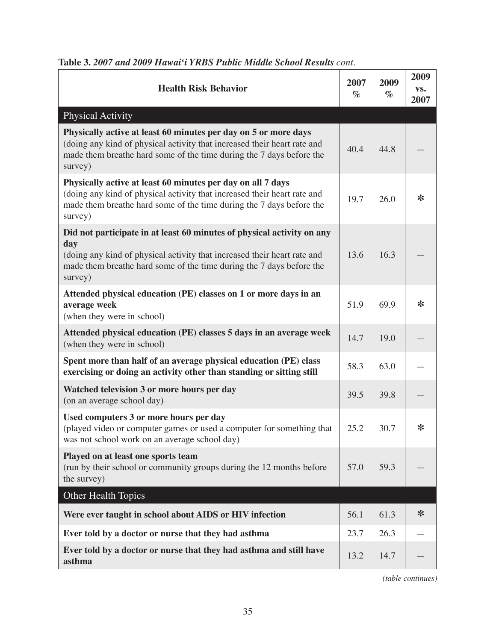| <b>Health Risk Behavior</b>                                                                                                                                                                                                    | 2007<br>$\%$ | 2009<br>$\%$ | 2009<br>VS.<br>2007 |
|--------------------------------------------------------------------------------------------------------------------------------------------------------------------------------------------------------------------------------|--------------|--------------|---------------------|
| <b>Physical Activity</b>                                                                                                                                                                                                       |              |              |                     |
| Physically active at least 60 minutes per day on 5 or more days<br>(doing any kind of physical activity that increased their heart rate and<br>made them breathe hard some of the time during the 7 days before the<br>survey) | 40.4         | 44.8         |                     |
| Physically active at least 60 minutes per day on all 7 days<br>(doing any kind of physical activity that increased their heart rate and<br>made them breathe hard some of the time during the 7 days before the<br>survey)     | 19.7         | 26.0         | $\ast$              |
| Did not participate in at least 60 minutes of physical activity on any                                                                                                                                                         |              |              |                     |
| day<br>(doing any kind of physical activity that increased their heart rate and<br>made them breathe hard some of the time during the 7 days before the<br>survey)                                                             | 13.6         | 16.3         |                     |
| Attended physical education (PE) classes on 1 or more days in an<br>average week<br>(when they were in school)                                                                                                                 | 51.9         | 69.9         | ∗                   |
| Attended physical education (PE) classes 5 days in an average week<br>(when they were in school)                                                                                                                               | 14.7         | 19.0         |                     |
| Spent more than half of an average physical education (PE) class<br>exercising or doing an activity other than standing or sitting still                                                                                       | 58.3         | 63.0         |                     |
| Watched television 3 or more hours per day<br>(on an average school day)                                                                                                                                                       | 39.5         | 39.8         |                     |
| Used computers 3 or more hours per day<br>(played video or computer games or used a computer for something that<br>was not school work on an average school day)                                                               | 25.2         | 30.7         | ∗                   |
| Played on at least one sports team<br>(run by their school or community groups during the 12 months before<br>the survey)                                                                                                      | 57.0         | 59.3         |                     |
| <b>Other Health Topics</b>                                                                                                                                                                                                     |              |              |                     |
| Were ever taught in school about AIDS or HIV infection                                                                                                                                                                         | 56.1         | 61.3         | $\ast$              |
| Ever told by a doctor or nurse that they had asthma                                                                                                                                                                            | 23.7         | 26.3         |                     |
| Ever told by a doctor or nurse that they had asthma and still have<br>asthma                                                                                                                                                   | 13.2         | 14.7         |                     |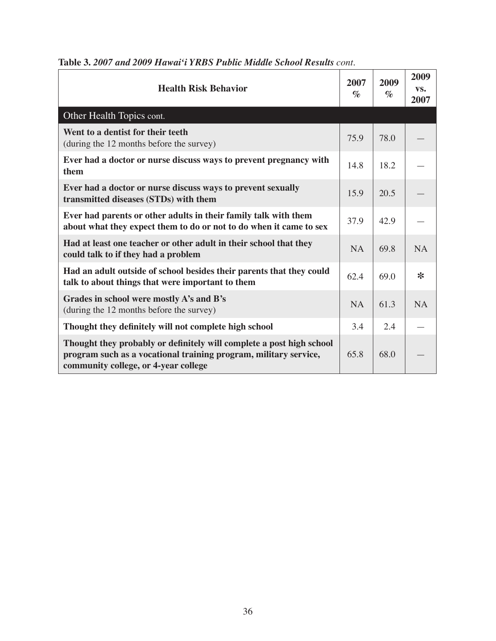| <b>Health Risk Behavior</b>                                                                                                                                                      | 2007<br>$\%$ | 2009<br>$\%$ | 2009<br>VS.<br>2007 |
|----------------------------------------------------------------------------------------------------------------------------------------------------------------------------------|--------------|--------------|---------------------|
| Other Health Topics cont.                                                                                                                                                        |              |              |                     |
| Went to a dentist for their teeth<br>(during the 12 months before the survey)                                                                                                    | 75.9         | 78.0         |                     |
| Ever had a doctor or nurse discuss ways to prevent pregnancy with<br>them                                                                                                        | 14.8         | 18.2         |                     |
| Ever had a doctor or nurse discuss ways to prevent sexually<br>transmitted diseases (STDs) with them                                                                             | 15.9         | 20.5         |                     |
| Ever had parents or other adults in their family talk with them<br>about what they expect them to do or not to do when it came to sex                                            | 37.9         | 42.9         |                     |
| Had at least one teacher or other adult in their school that they<br>could talk to if they had a problem                                                                         | <b>NA</b>    | 69.8         | <b>NA</b>           |
| Had an adult outside of school besides their parents that they could<br>talk to about things that were important to them                                                         | 62.4         | 69.0         | $\ast$              |
| Grades in school were mostly A's and B's<br>(during the 12 months before the survey)                                                                                             | <b>NA</b>    | 61.3         | <b>NA</b>           |
| Thought they definitely will not complete high school                                                                                                                            | 3.4          | 2.4          |                     |
| Thought they probably or definitely will complete a post high school<br>program such as a vocational training program, military service,<br>community college, or 4-year college | 65.8         | 68.0         |                     |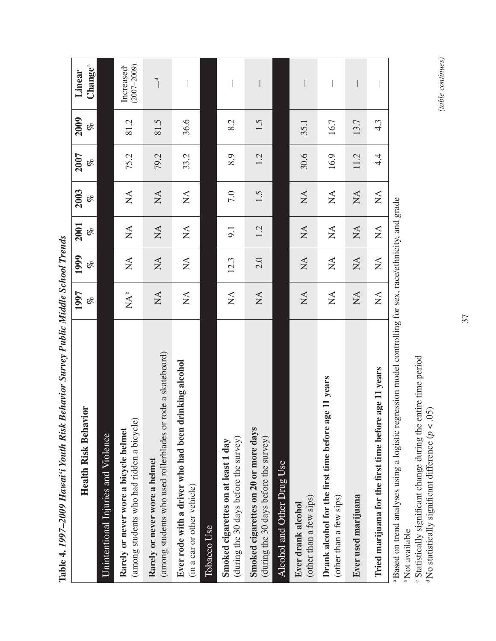| Dellariol Dal rey 1 acres de l'Orleans Delles<br>Mont man , in whit cont.<br>TANDIC T. 1777                |                                     |                                |                                |                                     |             |                  |                                           |
|------------------------------------------------------------------------------------------------------------|-------------------------------------|--------------------------------|--------------------------------|-------------------------------------|-------------|------------------|-------------------------------------------|
| <b>Health Risk Behavior</b>                                                                                | 1997<br>of                          | 1999<br>of                     | 2001<br>of                     | 2003<br>olo                         | 2007<br>olo | 2009<br>of       | Change <sup>a</sup><br>Linear             |
| Unintentional Injuries and Violence                                                                        |                                     |                                |                                |                                     |             |                  |                                           |
| (among students who had ridden a bicycle<br>Rarely or never wore a bicycle helmet                          | $\mathbf{A}^\mathsf{b}$             | $\sum$                         | $\stackrel{\Delta}{\geq}$      | $\stackrel{\triangle}{\simeq}$      | 75.2        | 81.2             | Increased <sup>®</sup><br>$(2007 - 2009)$ |
| rode a skateboard)<br>(among students who used rollerblades or<br>Rarely or never wore a helmet            | $\stackrel{\Delta}{\simeq}$         | $\sum$                         | $\stackrel{\Delta}{\geq}$      | $\sum_{i=1}^{n}$                    | 79.2        | 81.5             | $\overline{a}$                            |
| Ever rode with a driver who had been drinking alcohol<br>(in a car or other vehicle)                       | $\stackrel{\Delta}{\geq}$           | $\sum_{i=1}^{n}$               | $\sum_{i=1}^{n}$               | $\sum_{i=1}^{n}$                    | 33.2        | 36.6             |                                           |
| Tobacco Use                                                                                                |                                     |                                |                                |                                     |             |                  |                                           |
| (during the 30 days before the survey)<br>Smoked cigarettes on at least 1 day                              | $\stackrel{\blacktriangle}{\simeq}$ | 12.3                           | 9.1                            | 7.0                                 | 8.9         | 8.2              |                                           |
| Smoked cigarettes on 20 or more days<br>(during the 30 days before the survey)                             | $\mathop{\rm NA}\nolimits$          | 2.0                            | 1.2                            | 1.5                                 | 1.2         | 1.5              |                                           |
| Alcohol and Other Drug Use                                                                                 |                                     |                                |                                |                                     |             |                  |                                           |
| (other than a few sips)<br>Ever drank alcohol                                                              | $\mathop{\mathrm{NA}}$              | $\mathop{\mathrm{NA}}$         | $\stackrel{\Delta}{\geq}$      | $\mathop{\rm NA}\nolimits$          | 30.6        | 35.1             |                                           |
| ge 11 years<br>Drank alcohol for the first time before a<br>(other than a few sips)                        | $\stackrel{\Delta}{\simeq}$         | $\stackrel{\triangle}{\simeq}$ | $\stackrel{\triangle}{\simeq}$ | $\stackrel{\triangle}{\simeq}$      | 16.9        | 16.7             |                                           |
| Ever used marijuana                                                                                        | $\stackrel{\Delta}{\geq}$           | $\stackrel{\Delta}{\geq}$      | $\stackrel{\Delta}{\geq}$      | $\stackrel{\blacktriangle}{\simeq}$ | 11.2        | 13.7             |                                           |
| Tried marijuana for the first time before age 11 years                                                     | $\stackrel{\blacktriangle}{\simeq}$ | $\stackrel{\triangle}{\simeq}$ | $\mathop{\mathsf{X}}\nolimits$ | $\sum_{i=1}^{n}$                    | 4.4         | $4.\overline{3}$ |                                           |
| a Based on trend analyses using a logistic regression model controlling for sex, race/ethnicity, and grade |                                     |                                |                                |                                     |             |                  |                                           |

Table 4, 1997–2009 Hawai'i Youth Risk Behavior Survey Public Middle School Trends **Table 4.** *1997–2009 Hawai'i Youth Risk Behavior Survey Public Middle School Trends*

b Not available <sup>b</sup>Not available<br>
<sup>c</sup> Statistically significant change during the entire time period<br>
<sup>d</sup>No statistically significant difference ( $p < .05$ )

Statistically significant change during the entire time period

<sup>d</sup> No statistically significant difference  $(p < .05)$ 

(table continues) *(table continues)*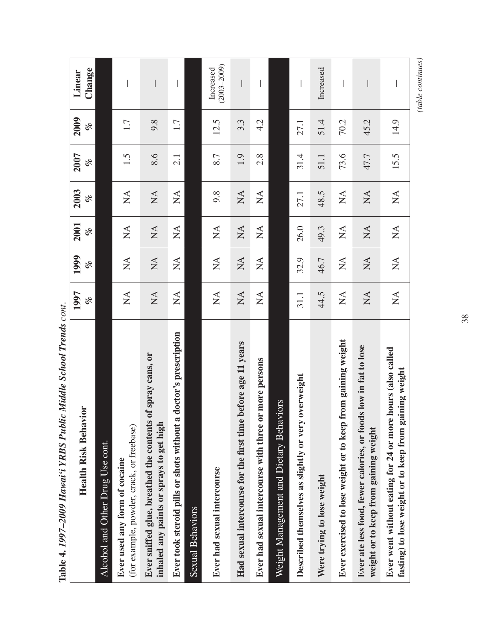| <b>UNIVARD COTTLE</b><br><b>THRACK DOMINI</b><br>$\frac{1}{2}$<br>an un u<br><b>NAME</b>                             |                                     |                                            |                                |                                |      |         |                              |
|----------------------------------------------------------------------------------------------------------------------|-------------------------------------|--------------------------------------------|--------------------------------|--------------------------------|------|---------|------------------------------|
|                                                                                                                      | 1997                                | 1999                                       | 2001                           | 2003                           | 2007 | 2009    | Linear                       |
| <b>Health Risk Behavior</b>                                                                                          | of                                  | olo                                        | of                             | olo                            | of   | of      | Change                       |
| Alcohol and Other Drug Use cont.                                                                                     |                                     |                                            |                                |                                |      |         |                              |
| (for example, powder, crack, or freebase)<br>Ever used any form of cocaine                                           | $\sum_{i=1}^{n}$                    | $\stackrel{\triangle}{\simeq}$             | $\stackrel{\Delta}{\simeq}$    | $\stackrel{\Delta}{\geq}$      | 1.5  | $1.7\,$ |                              |
| of spray cans, or<br>Ever sniffed glue, breathed the contents<br>inhaled any paints or sprays to get high            | $\stackrel{\blacktriangle}{\simeq}$ | $\stackrel{\blacktriangle}{\simeq}$        | $\stackrel{\Delta}{\simeq}$    | $\mathop{\mathsf{NA}}$         | 8.6  | 9.8     |                              |
| Ever took steroid pills or shots without a doctor's prescription                                                     | $\sum_{i=1}^{n}$                    | $\sum_{i=1}^{n}$                           | $\mathop{\mathsf{X}}\nolimits$ | $\sum_{i=1}^{n}$               | 2.1  | 1.7     |                              |
| <b>Sexual Behaviors</b>                                                                                              |                                     |                                            |                                |                                |      |         |                              |
| Ever had sexual intercourse                                                                                          | $\sum_{i=1}^{n}$                    | $\sum_{i=1}^{n}$                           | $\stackrel{\Delta}{\simeq}$    | 9.8                            | 8.7  | 12.5    | $(2003 - 2009)$<br>Increased |
| before age 11 years<br>Had sexual intercourse for the first time                                                     | $\sum_{i=1}^{n}$                    | $\sum_{i=1}^{n}$                           | $\stackrel{\Delta}{\geq}$      | $\sum_{i=1}^{n}$               | 1.9  | 3.3     |                              |
| or more persons<br>Ever had sexual intercourse with three                                                            | $\sum_{i=1}^{n}$                    | $\mathop{\leq}\limits_{}^{\blacktriangle}$ | $\sum_{i=1}^{n}$               | $\mathbb{X}^{\mathsf{A}}$      | 2.8  | 4.2     |                              |
| Weight Management and Dietary Behaviors                                                                              |                                     |                                            |                                |                                |      |         |                              |
| overweight<br>Described themselves as slightly or very                                                               | 31.1                                | 32.9                                       | 26.0                           | 27.1                           | 31.4 | 27.1    |                              |
| Were trying to lose weight                                                                                           | 44.5                                | 46.7                                       | 49.3                           | 48.5                           | 51.1 | 51.4    | Increased                    |
| from gaining weight<br>Ever exercised to lose weight or to keep                                                      | $\sum_{i=1}^{n}$                    | $\sum_{i=1}^{n}$                           | $\sum_{i=1}^{n}$               | $\sum_{i=1}^{n}$               | 73.6 | 70.2    |                              |
| Ever ate less food, fewer calories, or foods low in fat to lose<br>weight or to keep from gaining weight             | $\sum_{i=1}^{n}$                    | $\mathbb{X}^{\mathsf{A}}$                  | $\sum$                         | $\sum_{i=1}^{n}$               | 47.7 | 45.2    |                              |
| Ever went without eating for 24 or more hours (also called<br>fasting) to lose weight or to keep from gaining weight | $\stackrel{\blacktriangle}{\geq}$   | $\stackrel{\Delta}{\geq}$                  | $\stackrel{\triangle}{\simeq}$ | $\stackrel{\triangle}{\simeq}$ | 15.5 | 14.9    |                              |

Table 4. 1997-2009 Hawai'i YRBS Public Middle School Trends cont. **Table 4.** *1997–2009 Hawai'i YRBS Public Middle School Trends cont.*  $\qquad \qquad (table~continues)$ *(table continues)*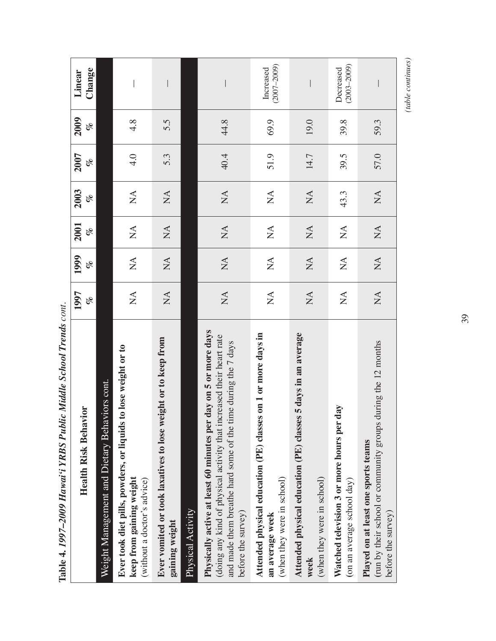| Table 4. 1997-2009 Hawai'i YRBS Public Middle School Trends cont.                                                                                                                                                                 |                                |                                |                                |                           |             |                  |                              |
|-----------------------------------------------------------------------------------------------------------------------------------------------------------------------------------------------------------------------------------|--------------------------------|--------------------------------|--------------------------------|---------------------------|-------------|------------------|------------------------------|
| <b>Health Risk Behavior</b>                                                                                                                                                                                                       | 1997<br>olo                    | 1999<br>olo                    | 2001<br>of                     | 2003<br>olo               | 2007<br>olo | 2009<br>of       | Change<br>Linear             |
| Weight Management and Dietary Behaviors cont.                                                                                                                                                                                     |                                |                                |                                |                           |             |                  |                              |
| to lose weight or to<br>Ever took diet pills, powders, or liquids<br>keep from gaining weight<br>(without a doctor's advice)                                                                                                      | $\mathop{\mathsf{X}}\nolimits$ | $\sum_{i=1}^{n}$               | $\mathbb{A}$                   | $\sum_{i=1}^{n}$          | 4.0         | $4.\overline{8}$ |                              |
| Ever vomited or took laxatives to lose weight or to keep from<br>gaining weight                                                                                                                                                   | $\sum_{i=1}^{n}$               | $\mathbb{A}$                   | $\mathbb{X}^{\mathsf{A}}$      | $\sum_{i=1}^{n}$          | 5.3         | 5.5              |                              |
| Physical Activity                                                                                                                                                                                                                 |                                |                                |                                |                           |             |                  |                              |
| day on 5 or more days<br>(doing any kind of physical activity that increased their heart rate<br>and made them breathe hard some of the time during the 7 days<br>Physically active at least 60 minutes per<br>before the survey) | $\sum_{i=1}^{n}$               | $\sum_{i=1}^{n}$               | $\mathop{\mathsf{X}}\nolimits$ | $\mathbb{X}^{\mathsf{A}}$ | 40.4        | 44.8             |                              |
| Attended physical education (PE) classes on 1 or more days in<br>(when they were in school)<br>an average week                                                                                                                    | $\sum_{i=1}^{n}$               | $\sum_{i=1}^{n}$               | $\sum_{i=1}^{n}$               | $\sum_{i=1}^{n}$          | 51.9        | 69.9             | $(2007 - 2009)$<br>Increased |
| Attended physical education (PE) classes 5 days in an average<br>(when they were in school)<br>week                                                                                                                               | $\sum$                         | $\mathop{\mathsf{NA}}$         | $\stackrel{\Delta}{\simeq}$    | $\sum_{i=1}^{n}$          | 14.7        | 19.0             |                              |
| day<br>Watched television 3 or more hours per<br>(on an average school day)                                                                                                                                                       | $\sum_{i=1}^{n}$               | $\sum_{i=1}^{n}$               | $\sum_{i=1}^{n}$               | 43.3                      | 39.5        | 39.8             | $(2003 - 2009)$<br>Decreased |
| during the 12 months<br>(run by their school or community groups<br>Played on at least one sports teams<br>before the survey)                                                                                                     | $\sum_{i=1}^{n}$               | $\mathop{\mathsf{X}}\nolimits$ | $\sum_{i=1}^{n}$               | $\sum_{i=1}^{n}$          | 57.0        | 59.3             |                              |

 $\frac{1}{2}$  $\mathbf{r}$ × Č  $\overline{u}$  $\ddot{\phantom{a}}$  $D_{-1}L$  $26.525$  $T$  DUUC LUUL V  $\qquad \qquad (table~continues)$ *(table continues)*